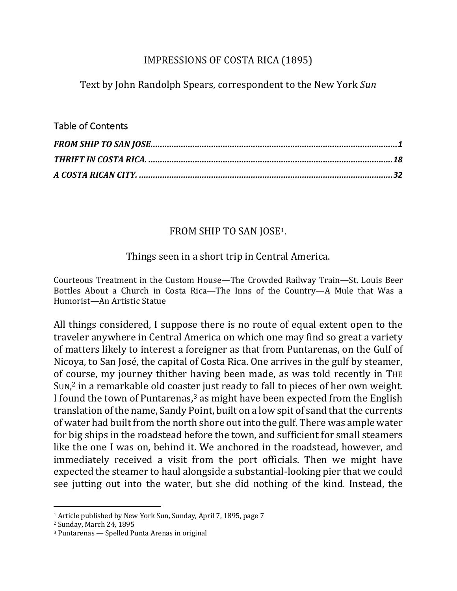## IMPRESSIONS OF COSTA RICA (1895)

Text by John Randolph Spears, correspondent to the New York *Sun* 

## Table of Contents

# FROM SHIP TO SAN JOSE<sup>1</sup>.

# Things seen in a short trip in Central America.

Courteous Treatment in the Custom House—The Crowded Railway Train—St. Louis Beer Bottles About a Church in Costa Rica—The Inns of the Country—A Mule that Was a Humorist—An Artistic Statue

All things considered, I suppose there is no route of equal extent open to the traveler anywhere in Central America on which one may find so great a variety of matters likely to interest a foreigner as that from Puntarenas, on the Gulf of Nicoya, to San José, the capital of Costa Rica. One arrives in the gulf by steamer, of course, my journey thither having been made, as was told recently in THE SUN, $<sup>2</sup>$  in a remarkable old coaster just ready to fall to pieces of her own weight.</sup> I found the town of Puntarenas, $3$  as might have been expected from the English translation of the name, Sandy Point, built on a low spit of sand that the currents of water had built from the north shore out into the gulf. There was ample water for big ships in the roadstead before the town, and sufficient for small steamers like the one I was on, behind it. We anchored in the roadstead, however, and immediately received a visit from the port officials. Then we might have expected the steamer to haul alongside a substantial-looking pier that we could see jutting out into the water, but she did nothing of the kind. Instead, the

 $1$  Article published by New York Sun, Sunday, April 7, 1895, page 7

<sup>&</sup>lt;sup>2</sup> Sunday, March 24, 1895

 $3$  Puntarenas  $-$  Spelled Punta Arenas in original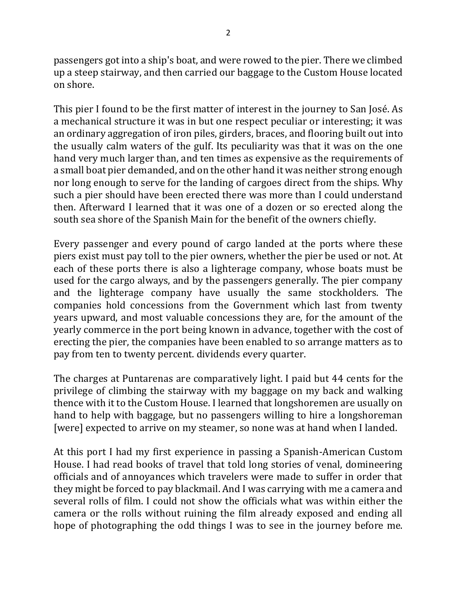passengers got into a ship's boat, and were rowed to the pier. There we climbed up a steep stairway, and then carried our baggage to the Custom House located on shore.

This pier I found to be the first matter of interest in the journey to San José. As a mechanical structure it was in but one respect peculiar or interesting; it was an ordinary aggregation of iron piles, girders, braces, and flooring built out into the usually calm waters of the gulf. Its peculiarity was that it was on the one hand very much larger than, and ten times as expensive as the requirements of a small boat pier demanded, and on the other hand it was neither strong enough nor long enough to serve for the landing of cargoes direct from the ships. Why such a pier should have been erected there was more than I could understand then. Afterward I learned that it was one of a dozen or so erected along the south sea shore of the Spanish Main for the benefit of the owners chiefly.

Every passenger and every pound of cargo landed at the ports where these piers exist must pay toll to the pier owners, whether the pier be used or not. At each of these ports there is also a lighterage company, whose boats must be used for the cargo always, and by the passengers generally. The pier company and the lighterage company have usually the same stockholders. The companies hold concessions from the Government which last from twenty years upward, and most valuable concessions they are, for the amount of the yearly commerce in the port being known in advance, together with the cost of erecting the pier, the companies have been enabled to so arrange matters as to pay from ten to twenty percent. dividends every quarter.

The charges at Puntarenas are comparatively light. I paid but 44 cents for the privilege of climbing the stairway with my baggage on my back and walking thence with it to the Custom House. I learned that longshoremen are usually on hand to help with baggage, but no passengers willing to hire a longshoreman [were] expected to arrive on my steamer, so none was at hand when I landed.

At this port I had my first experience in passing a Spanish-American Custom House. I had read books of travel that told long stories of venal, domineering officials and of annoyances which travelers were made to suffer in order that they might be forced to pay blackmail. And I was carrying with me a camera and several rolls of film. I could not show the officials what was within either the camera or the rolls without ruining the film already exposed and ending all hope of photographing the odd things I was to see in the journey before me.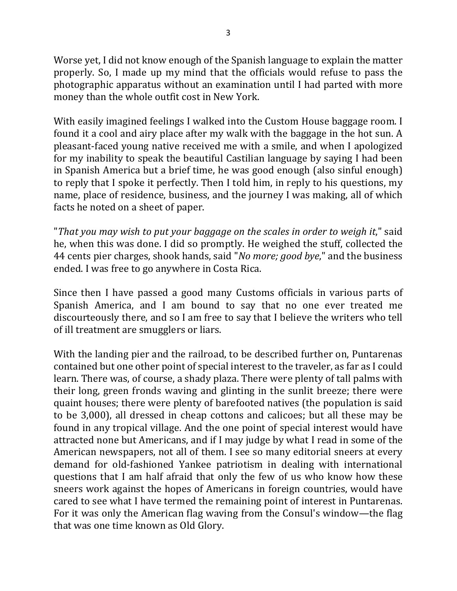Worse yet, I did not know enough of the Spanish language to explain the matter properly. So, I made up my mind that the officials would refuse to pass the photographic apparatus without an examination until I had parted with more money than the whole outfit cost in New York.

With easily imagined feelings I walked into the Custom House baggage room. I found it a cool and airy place after my walk with the baggage in the hot sun. A pleasant-faced young native received me with a smile, and when I apologized for my inability to speak the beautiful Castilian language by saying I had been in Spanish America but a brief time, he was good enough (also sinful enough) to reply that I spoke it perfectly. Then I told him, in reply to his questions, my name, place of residence, business, and the journey I was making, all of which facts he noted on a sheet of paper.

"That you may wish to put your baggage on the scales in order to weigh it," said he, when this was done. I did so promptly. He weighed the stuff, collected the 44 cents pier charges, shook hands, said "*No more; good bye*," and the business ended. I was free to go anywhere in Costa Rica.

Since then I have passed a good many Customs officials in various parts of Spanish America, and I am bound to say that no one ever treated me discourteously there, and so I am free to say that I believe the writers who tell of ill treatment are smugglers or liars.

With the landing pier and the railroad, to be described further on, Puntarenas contained but one other point of special interest to the traveler, as far as I could learn. There was, of course, a shady plaza. There were plenty of tall palms with their long, green fronds waving and glinting in the sunlit breeze; there were quaint houses; there were plenty of barefooted natives (the population is said to be 3,000), all dressed in cheap cottons and calicoes; but all these may be found in any tropical village. And the one point of special interest would have attracted none but Americans, and if I may judge by what I read in some of the American newspapers, not all of them. I see so many editorial sneers at every demand for old-fashioned Yankee patriotism in dealing with international questions that I am half afraid that only the few of us who know how these sneers work against the hopes of Americans in foreign countries, would have cared to see what I have termed the remaining point of interest in Puntarenas. For it was only the American flag waving from the Consul's window—the flag that was one time known as Old Glory.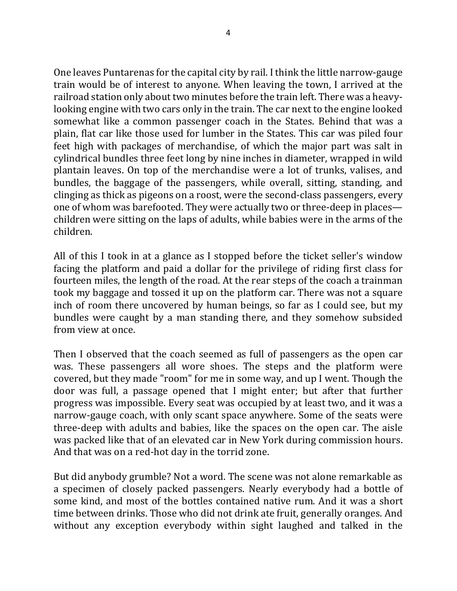One leaves Puntarenas for the capital city by rail. I think the little narrow-gauge train would be of interest to anyone. When leaving the town, I arrived at the railroad station only about two minutes before the train left. There was a heavylooking engine with two cars only in the train. The car next to the engine looked somewhat like a common passenger coach in the States. Behind that was a plain, flat car like those used for lumber in the States. This car was piled four feet high with packages of merchandise, of which the major part was salt in cylindrical bundles three feet long by nine inches in diameter, wrapped in wild plantain leaves. On top of the merchandise were a lot of trunks, valises, and bundles, the baggage of the passengers, while overall, sitting, standing, and clinging as thick as pigeons on a roost, were the second-class passengers, every one of whom was barefooted. They were actually two or three-deep in places children were sitting on the laps of adults, while babies were in the arms of the children.

All of this I took in at a glance as I stopped before the ticket seller's window facing the platform and paid a dollar for the privilege of riding first class for fourteen miles, the length of the road. At the rear steps of the coach a trainman took my baggage and tossed it up on the platform car. There was not a square inch of room there uncovered by human beings, so far as I could see, but my bundles were caught by a man standing there, and they somehow subsided from view at once.

Then I observed that the coach seemed as full of passengers as the open car was. These passengers all wore shoes. The steps and the platform were covered, but they made "room" for me in some way, and up I went. Though the door was full, a passage opened that I might enter; but after that further progress was impossible. Every seat was occupied by at least two, and it was a narrow-gauge coach, with only scant space anywhere. Some of the seats were three-deep with adults and babies, like the spaces on the open car. The aisle was packed like that of an elevated car in New York during commission hours. And that was on a red-hot day in the torrid zone.

But did anybody grumble? Not a word. The scene was not alone remarkable as a specimen of closely packed passengers. Nearly everybody had a bottle of some kind, and most of the bottles contained native rum. And it was a short time between drinks. Those who did not drink ate fruit, generally oranges. And without any exception everybody within sight laughed and talked in the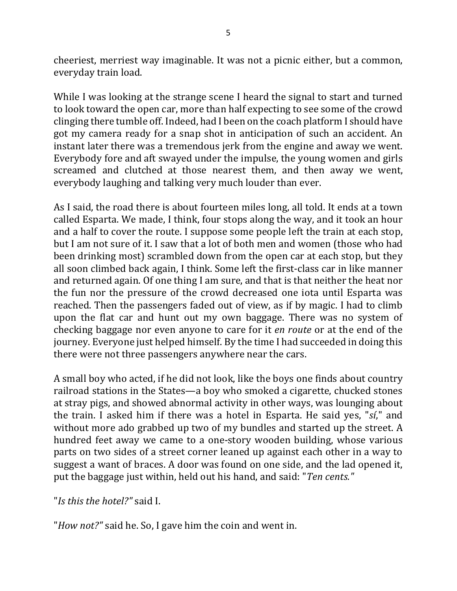cheeriest, merriest way imaginable. It was not a picnic either, but a common, everyday train load.

While I was looking at the strange scene I heard the signal to start and turned to look toward the open car, more than half expecting to see some of the crowd clinging there tumble off. Indeed, had I been on the coach platform I should have got my camera ready for a snap shot in anticipation of such an accident. An instant later there was a tremendous jerk from the engine and away we went. Everybody fore and aft swayed under the impulse, the young women and girls screamed and clutched at those nearest them, and then away we went, everybody laughing and talking very much louder than ever.

As I said, the road there is about fourteen miles long, all told. It ends at a town called Esparta. We made, I think, four stops along the way, and it took an hour and a half to cover the route. I suppose some people left the train at each stop, but I am not sure of it. I saw that a lot of both men and women (those who had been drinking most) scrambled down from the open car at each stop, but they all soon climbed back again, I think. Some left the first-class car in like manner and returned again. Of one thing I am sure, and that is that neither the heat nor the fun nor the pressure of the crowd decreased one iota until Esparta was reached. Then the passengers faded out of view, as if by magic. I had to climb upon the flat car and hunt out my own baggage. There was no system of checking baggage nor even anyone to care for it *en route* or at the end of the journey. Everyone just helped himself. By the time I had succeeded in doing this there were not three passengers anywhere near the cars.

A small boy who acted, if he did not look, like the boys one finds about country railroad stations in the States—a boy who smoked a cigarette, chucked stones at stray pigs, and showed abnormal activity in other ways, was lounging about the train. I asked him if there was a hotel in Esparta. He said yes, "*si*," and without more ado grabbed up two of my bundles and started up the street. A hundred feet away we came to a one-story wooden building, whose various parts on two sides of a street corner leaned up against each other in a way to suggest a want of braces. A door was found on one side, and the lad opened it, put the baggage just within, held out his hand, and said: "*Ten cents.*"

"*Is this the hotel?"* said I.

"*How not?"* said he. So, I gave him the coin and went in.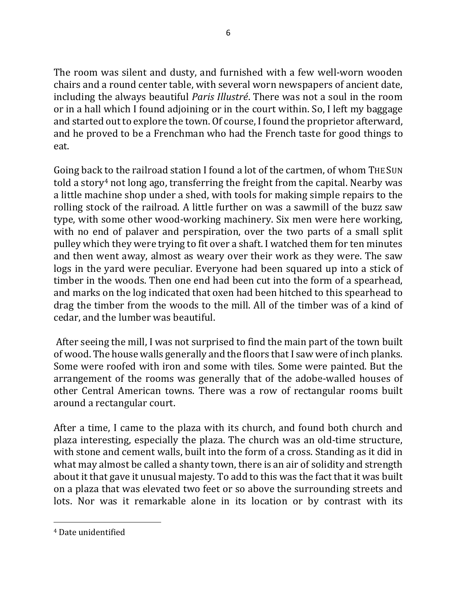The room was silent and dusty, and furnished with a few well-worn wooden chairs and a round center table, with several worn newspapers of ancient date, including the always beautiful *Paris Illustré*. There was not a soul in the room or in a hall which I found adjoining or in the court within. So, I left my baggage and started out to explore the town. Of course, I found the proprietor afterward, and he proved to be a Frenchman who had the French taste for good things to eat.

Going back to the railroad station I found a lot of the cartmen, of whom THE SUN told a story<sup>4</sup> not long ago, transferring the freight from the capital. Nearby was a little machine shop under a shed, with tools for making simple repairs to the rolling stock of the railroad. A little further on was a sawmill of the buzz saw type, with some other wood-working machinery. Six men were here working, with no end of palaver and perspiration, over the two parts of a small split pulley which they were trying to fit over a shaft. I watched them for ten minutes and then went away, almost as weary over their work as they were. The saw logs in the yard were peculiar. Everyone had been squared up into a stick of timber in the woods. Then one end had been cut into the form of a spearhead, and marks on the log indicated that oxen had been hitched to this spearhead to drag the timber from the woods to the mill. All of the timber was of a kind of cedar, and the lumber was beautiful.

After seeing the mill, I was not surprised to find the main part of the town built of wood. The house walls generally and the floors that I saw were of inch planks. Some were roofed with iron and some with tiles. Some were painted. But the arrangement of the rooms was generally that of the adobe-walled houses of other Central American towns. There was a row of rectangular rooms built around a rectangular court.

After a time, I came to the plaza with its church, and found both church and plaza interesting, especially the plaza. The church was an old-time structure, with stone and cement walls, built into the form of a cross. Standing as it did in what may almost be called a shanty town, there is an air of solidity and strength about it that gave it unusual majesty. To add to this was the fact that it was built on a plaza that was elevated two feet or so above the surrounding streets and lots. Nor was it remarkable alone in its location or by contrast with its

<sup>&</sup>lt;sup>4</sup> Date unidentified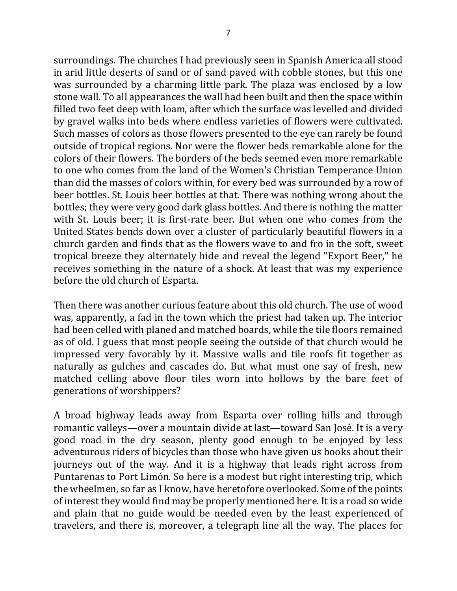surroundings. The churches I had previously seen in Spanish America all stood in arid little deserts of sand or of sand paved with cobble stones, but this one was surrounded by a charming little park. The plaza was enclosed by a low stone wall. To all appearances the wall had been built and then the space within filled two feet deep with loam, after which the surface was levelled and divided by gravel walks into beds where endless varieties of flowers were cultivated. Such masses of colors as those flowers presented to the eye can rarely be found outside of tropical regions. Nor were the flower beds remarkable alone for the colors of their flowers. The borders of the beds seemed even more remarkable to one who comes from the land of the Women's Christian Temperance Union than did the masses of colors within, for every bed was surrounded by a row of beer bottles. St. Louis beer bottles at that. There was nothing wrong about the bottles; they were very good dark glass bottles. And there is nothing the matter with St. Louis beer; it is first-rate beer. But when one who comes from the United States bends down over a cluster of particularly beautiful flowers in a church garden and finds that as the flowers wave to and fro in the soft, sweet tropical breeze they alternately hide and reveal the legend "Export Beer," he receives something in the nature of a shock. At least that was my experience before the old church of Esparta.

Then there was another curious feature about this old church. The use of wood was, apparently, a fad in the town which the priest had taken up. The interior had been celled with planed and matched boards, while the tile floors remained as of old. I guess that most people seeing the outside of that church would be impressed very favorably by it. Massive walls and tile roofs fit together as naturally as gulches and cascades do. But what must one say of fresh, new matched celling above floor tiles worn into hollows by the bare feet of generations of worshippers?

A broad highway leads away from Esparta over rolling hills and through romantic valleys—over a mountain divide at last—toward San José. It is a very good road in the dry season, plenty good enough to be enjoyed by less adventurous riders of bicycles than those who have given us books about their journeys out of the way. And it is a highway that leads right across from Puntarenas to Port Limón. So here is a modest but right interesting trip, which the wheelmen, so far as I know, have heretofore overlooked. Some of the points of interest they would find may be properly mentioned here. It is a road so wide and plain that no guide would be needed even by the least experienced of travelers, and there is, moreover, a telegraph line all the way. The places for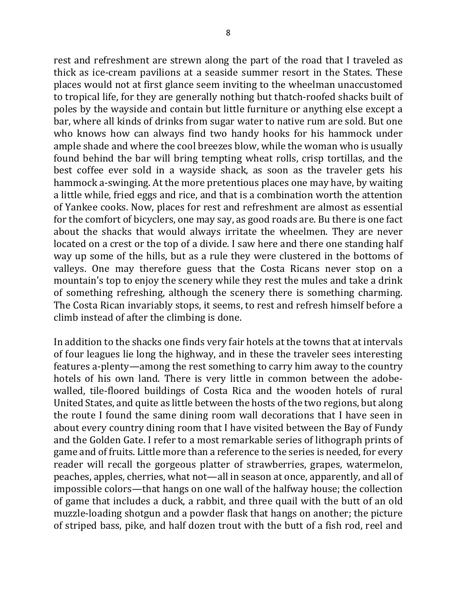rest and refreshment are strewn along the part of the road that I traveled as thick as ice-cream pavilions at a seaside summer resort in the States. These places would not at first glance seem inviting to the wheelman unaccustomed to tropical life, for they are generally nothing but thatch-roofed shacks built of poles by the wayside and contain but little furniture or anything else except a bar, where all kinds of drinks from sugar water to native rum are sold. But one who knows how can always find two handy hooks for his hammock under ample shade and where the cool breezes blow, while the woman who is usually found behind the bar will bring tempting wheat rolls, crisp tortillas, and the best coffee ever sold in a wayside shack, as soon as the traveler gets his hammock a-swinging. At the more pretentious places one may have, by waiting a little while, fried eggs and rice, and that is a combination worth the attention of Yankee cooks. Now, places for rest and refreshment are almost as essential for the comfort of bicyclers, one may say, as good roads are. Bu there is one fact about the shacks that would always irritate the wheelmen. They are never located on a crest or the top of a divide. I saw here and there one standing half way up some of the hills, but as a rule they were clustered in the bottoms of valleys. One may therefore guess that the Costa Ricans never stop on a mountain's top to enjoy the scenery while they rest the mules and take a drink of something refreshing, although the scenery there is something charming. The Costa Rican invariably stops, it seems, to rest and refresh himself before a climb instead of after the climbing is done.

In addition to the shacks one finds very fair hotels at the towns that at intervals of four leagues lie long the highway, and in these the traveler sees interesting features a-plenty—among the rest something to carry him away to the country hotels of his own land. There is very little in common between the adobewalled, tile-floored buildings of Costa Rica and the wooden hotels of rural United States, and quite as little between the hosts of the two regions, but along the route I found the same dining room wall decorations that I have seen in about every country dining room that I have visited between the Bay of Fundy and the Golden Gate. I refer to a most remarkable series of lithograph prints of game and of fruits. Little more than a reference to the series is needed, for every reader will recall the gorgeous platter of strawberries, grapes, watermelon, peaches, apples, cherries, what not—all in season at once, apparently, and all of impossible colors—that hangs on one wall of the halfway house; the collection of game that includes a duck, a rabbit, and three quail with the butt of an old muzzle-loading shotgun and a powder flask that hangs on another; the picture of striped bass, pike, and half dozen trout with the butt of a fish rod, reel and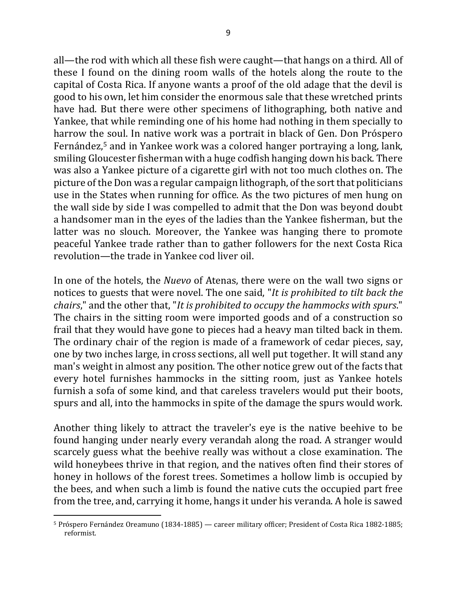all—the rod with which all these fish were caught—that hangs on a third. All of these I found on the dining room walls of the hotels along the route to the capital of Costa Rica. If anyone wants a proof of the old adage that the devil is good to his own, let him consider the enormous sale that these wretched prints have had. But there were other specimens of lithographing, both native and Yankee, that while reminding one of his home had nothing in them specially to harrow the soul. In native work was a portrait in black of Gen. Don Próspero Fernández,<sup>5</sup> and in Yankee work was a colored hanger portraying a long, lank, smiling Gloucester fisherman with a huge codfish hanging down his back. There was also a Yankee picture of a cigarette girl with not too much clothes on. The picture of the Don was a regular campaign lithograph, of the sort that politicians use in the States when running for office. As the two pictures of men hung on the wall side by side I was compelled to admit that the Don was beyond doubt a handsomer man in the eyes of the ladies than the Yankee fisherman, but the latter was no slouch. Moreover, the Yankee was hanging there to promote peaceful Yankee trade rather than to gather followers for the next Costa Rica revolution—the trade in Yankee cod liver oil.

In one of the hotels, the *Nuevo* of Atenas, there were on the wall two signs or notices to guests that were novel. The one said, "It is prohibited to tilt back the *chairs*," and the other that, "*It is prohibited to occupy the hammocks with spurs*." The chairs in the sitting room were imported goods and of a construction so frail that they would have gone to pieces had a heavy man tilted back in them. The ordinary chair of the region is made of a framework of cedar pieces, say, one by two inches large, in cross sections, all well put together. It will stand any man's weight in almost any position. The other notice grew out of the facts that every hotel furnishes hammocks in the sitting room, just as Yankee hotels furnish a sofa of some kind, and that careless travelers would put their boots, spurs and all, into the hammocks in spite of the damage the spurs would work.

Another thing likely to attract the traveler's eye is the native beehive to be found hanging under nearly every verandah along the road. A stranger would scarcely guess what the beehive really was without a close examination. The wild honeybees thrive in that region, and the natives often find their stores of honey in hollows of the forest trees. Sometimes a hollow limb is occupied by the bees, and when such a limb is found the native cuts the occupied part free from the tree, and, carrying it home, hangs it under his veranda. A hole is sawed

<sup>&</sup>lt;sup>5</sup> Próspero Fernández Oreamuno (1834-1885) — career military officer; President of Costa Rica 1882-1885; reformist.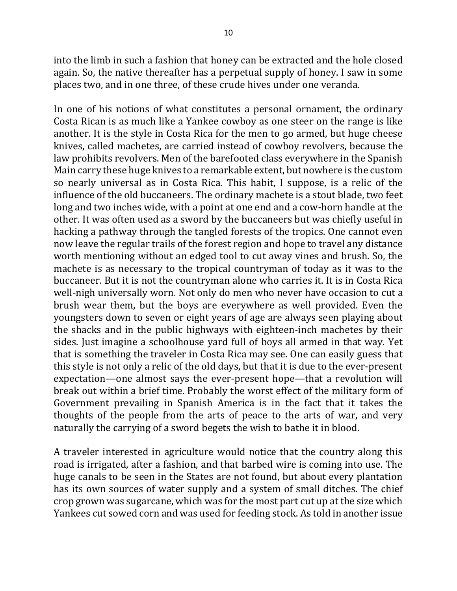into the limb in such a fashion that honey can be extracted and the hole closed again. So, the native thereafter has a perpetual supply of honey. I saw in some places two, and in one three, of these crude hives under one veranda.

In one of his notions of what constitutes a personal ornament, the ordinary Costa Rican is as much like a Yankee cowboy as one steer on the range is like another. It is the style in Costa Rica for the men to go armed, but huge cheese knives, called machetes, are carried instead of cowboy revolvers, because the law prohibits revolvers. Men of the barefooted class everywhere in the Spanish Main carry these huge knives to a remarkable extent, but nowhere is the custom so nearly universal as in Costa Rica. This habit, I suppose, is a relic of the influence of the old buccaneers. The ordinary machete is a stout blade, two feet long and two inches wide, with a point at one end and a cow-horn handle at the other. It was often used as a sword by the buccaneers but was chiefly useful in hacking a pathway through the tangled forests of the tropics. One cannot even now leave the regular trails of the forest region and hope to travel any distance worth mentioning without an edged tool to cut away vines and brush. So, the machete is as necessary to the tropical countryman of today as it was to the buccaneer. But it is not the countryman alone who carries it. It is in Costa Rica well-nigh universally worn. Not only do men who never have occasion to cut a brush wear them, but the boys are everywhere as well provided. Even the youngsters down to seven or eight years of age are always seen playing about the shacks and in the public highways with eighteen-inch machetes by their sides. Just imagine a schoolhouse yard full of boys all armed in that way. Yet that is something the traveler in Costa Rica may see. One can easily guess that this style is not only a relic of the old days, but that it is due to the ever-present expectation—one almost says the ever-present hope—that a revolution will break out within a brief time. Probably the worst effect of the military form of Government prevailing in Spanish America is in the fact that it takes the thoughts of the people from the arts of peace to the arts of war, and very naturally the carrying of a sword begets the wish to bathe it in blood.

A traveler interested in agriculture would notice that the country along this road is irrigated, after a fashion, and that barbed wire is coming into use. The huge canals to be seen in the States are not found, but about every plantation has its own sources of water supply and a system of small ditches. The chief crop grown was sugarcane, which was for the most part cut up at the size which Yankees cut sowed corn and was used for feeding stock. As told in another issue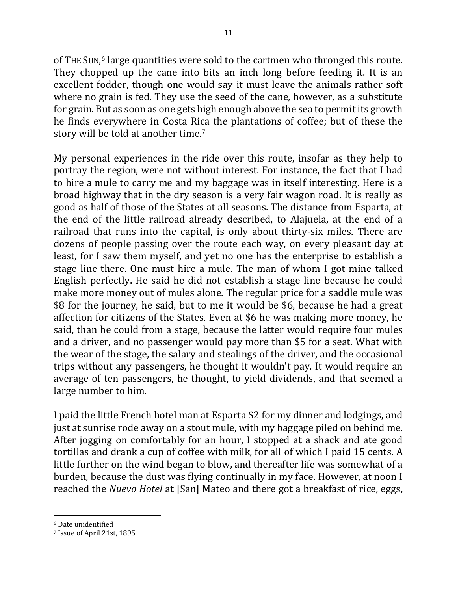of THE SUN,<sup>6</sup> large quantities were sold to the cartmen who thronged this route. They chopped up the cane into bits an inch long before feeding it. It is an excellent fodder, though one would say it must leave the animals rather soft where no grain is fed. They use the seed of the cane, however, as a substitute for grain. But as soon as one gets high enough above the sea to permit its growth he finds everywhere in Costa Rica the plantations of coffee; but of these the story will be told at another time.<sup>7</sup>

My personal experiences in the ride over this route, insofar as they help to portray the region, were not without interest. For instance, the fact that I had to hire a mule to carry me and my baggage was in itself interesting. Here is a broad highway that in the dry season is a very fair wagon road. It is really as good as half of those of the States at all seasons. The distance from Esparta, at the end of the little railroad already described, to Alajuela, at the end of a railroad that runs into the capital, is only about thirty-six miles. There are dozens of people passing over the route each way, on every pleasant day at least, for I saw them myself, and yet no one has the enterprise to establish a stage line there. One must hire a mule. The man of whom I got mine talked English perfectly. He said he did not establish a stage line because he could make more money out of mules alone. The regular price for a saddle mule was \$8 for the journey, he said, but to me it would be \$6, because he had a great affection for citizens of the States. Even at \$6 he was making more money, he said, than he could from a stage, because the latter would require four mules and a driver, and no passenger would pay more than \$5 for a seat. What with the wear of the stage, the salary and stealings of the driver, and the occasional trips without any passengers, he thought it wouldn't pay. It would require an average of ten passengers, he thought, to yield dividends, and that seemed a large number to him.

I paid the little French hotel man at Esparta \$2 for my dinner and lodgings, and just at sunrise rode away on a stout mule, with my baggage piled on behind me. After jogging on comfortably for an hour, I stopped at a shack and ate good tortillas and drank a cup of coffee with milk, for all of which I paid 15 cents. A little further on the wind began to blow, and thereafter life was somewhat of a burden, because the dust was flying continually in my face. However, at noon I reached the *Nuevo Hotel* at [San] Mateo and there got a breakfast of rice, eggs,

<sup>&</sup>lt;sup>6</sup> Date unidentified

<sup>&</sup>lt;sup>7</sup> Issue of April 21st, 1895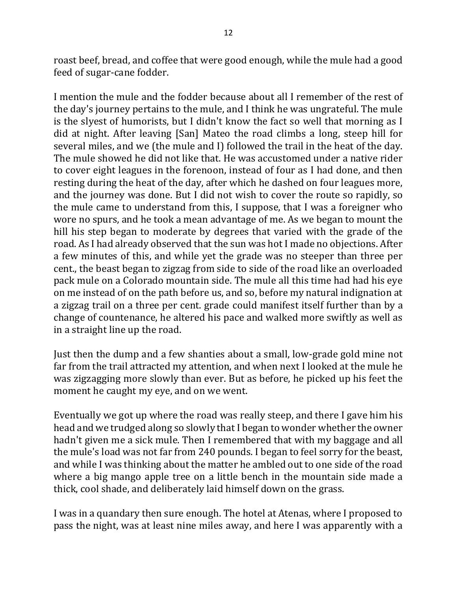roast beef, bread, and coffee that were good enough, while the mule had a good feed of sugar-cane fodder.

I mention the mule and the fodder because about all I remember of the rest of the day's journey pertains to the mule, and I think he was ungrateful. The mule is the slyest of humorists, but I didn't know the fact so well that morning as I did at night. After leaving [San] Mateo the road climbs a long, steep hill for several miles, and we (the mule and I) followed the trail in the heat of the day. The mule showed he did not like that. He was accustomed under a native rider to cover eight leagues in the forenoon, instead of four as I had done, and then resting during the heat of the day, after which he dashed on four leagues more, and the journey was done. But I did not wish to cover the route so rapidly, so the mule came to understand from this, I suppose, that I was a foreigner who wore no spurs, and he took a mean advantage of me. As we began to mount the hill his step began to moderate by degrees that varied with the grade of the road. As I had already observed that the sun was hot I made no objections. After a few minutes of this, and while yet the grade was no steeper than three per cent., the beast began to zigzag from side to side of the road like an overloaded pack mule on a Colorado mountain side. The mule all this time had had his eye on me instead of on the path before us, and so, before my natural indignation at a zigzag trail on a three per cent. grade could manifest itself further than by a change of countenance, he altered his pace and walked more swiftly as well as in a straight line up the road.

Just then the dump and a few shanties about a small, low-grade gold mine not far from the trail attracted my attention, and when next I looked at the mule he was zigzagging more slowly than ever. But as before, he picked up his feet the moment he caught my eye, and on we went.

Eventually we got up where the road was really steep, and there I gave him his head and we trudged along so slowly that I began to wonder whether the owner hadn't given me a sick mule. Then I remembered that with my baggage and all the mule's load was not far from 240 pounds. I began to feel sorry for the beast, and while I was thinking about the matter he ambled out to one side of the road where a big mango apple tree on a little bench in the mountain side made a thick, cool shade, and deliberately laid himself down on the grass.

I was in a quandary then sure enough. The hotel at Atenas, where I proposed to pass the night, was at least nine miles away, and here I was apparently with a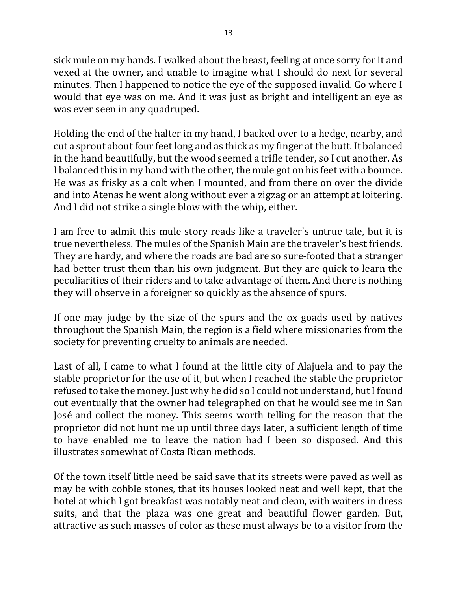sick mule on my hands. I walked about the beast, feeling at once sorry for it and vexed at the owner, and unable to imagine what I should do next for several minutes. Then I happened to notice the eye of the supposed invalid. Go where I would that eye was on me. And it was just as bright and intelligent an eye as was ever seen in any quadruped.

Holding the end of the halter in my hand, I backed over to a hedge, nearby, and cut a sprout about four feet long and as thick as my finger at the butt. It balanced in the hand beautifully, but the wood seemed a trifle tender, so I cut another. As I balanced this in my hand with the other, the mule got on his feet with a bounce. He was as frisky as a colt when I mounted, and from there on over the divide and into Atenas he went along without ever a zigzag or an attempt at loitering. And I did not strike a single blow with the whip, either.

I am free to admit this mule story reads like a traveler's untrue tale, but it is true nevertheless. The mules of the Spanish Main are the traveler's best friends. They are hardy, and where the roads are bad are so sure-footed that a stranger had better trust them than his own judgment. But they are quick to learn the peculiarities of their riders and to take advantage of them. And there is nothing they will observe in a foreigner so quickly as the absence of spurs.

If one may judge by the size of the spurs and the ox goads used by natives throughout the Spanish Main, the region is a field where missionaries from the society for preventing cruelty to animals are needed.

Last of all, I came to what I found at the little city of Alajuela and to pay the stable proprietor for the use of it, but when I reached the stable the proprietor refused to take the money. Just why he did so I could not understand, but I found out eventually that the owner had telegraphed on that he would see me in San José and collect the money. This seems worth telling for the reason that the proprietor did not hunt me up until three days later, a sufficient length of time to have enabled me to leave the nation had I been so disposed. And this illustrates somewhat of Costa Rican methods.

Of the town itself little need be said save that its streets were paved as well as may be with cobble stones, that its houses looked neat and well kept, that the hotel at which I got breakfast was notably neat and clean, with waiters in dress suits, and that the plaza was one great and beautiful flower garden. But, attractive as such masses of color as these must always be to a visitor from the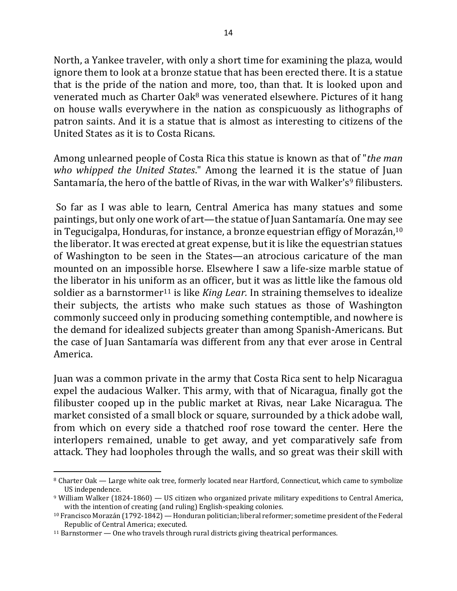North, a Yankee traveler, with only a short time for examining the plaza, would ignore them to look at a bronze statue that has been erected there. It is a statue that is the pride of the nation and more, too, than that. It is looked upon and venerated much as Charter Oak<sup>8</sup> was venerated elsewhere. Pictures of it hang on house walls everywhere in the nation as conspicuously as lithographs of patron saints. And it is a statue that is almost as interesting to citizens of the United States as it is to Costa Ricans.

Among unlearned people of Costa Rica this statue is known as that of "*the man who* whipped the United States." Among the learned it is the statue of Juan Santamaría, the hero of the battle of Rivas, in the war with Walker's<sup>9</sup> filibusters.

So far as I was able to learn, Central America has many statues and some paintings, but only one work of art—the statue of Juan Santamaría. One may see in Tegucigalpa, Honduras, for instance, a bronze equestrian effigy of Morazán,  $10<sup>10</sup>$ the liberator. It was erected at great expense, but it is like the equestrian statues of Washington to be seen in the States—an atrocious caricature of the man mounted on an impossible horse. Elsewhere I saw a life-size marble statue of the liberator in his uniform as an officer, but it was as little like the famous old soldier as a barnstormer<sup>11</sup> is like *King Lear*. In straining themselves to idealize their subjects, the artists who make such statues as those of Washington commonly succeed only in producing something contemptible, and nowhere is the demand for idealized subjects greater than among Spanish-Americans. But the case of Juan Santamaría was different from any that ever arose in Central America.

Juan was a common private in the army that Costa Rica sent to help Nicaragua expel the audacious Walker. This army, with that of Nicaragua, finally got the filibuster cooped up in the public market at Rivas, near Lake Nicaragua. The market consisted of a small block or square, surrounded by a thick adobe wall, from which on every side a thatched roof rose toward the center. Here the interlopers remained, unable to get away, and yet comparatively safe from attack. They had loopholes through the walls, and so great was their skill with

 $\overline{a}$ <sup>8</sup> Charter Oak — Large white oak tree, formerly located near Hartford, Connecticut, which came to symbolize US independence.

 $9$  William Walker (1824-1860) — US citizen who organized private military expeditions to Central America, with the intention of creating (and ruling) English-speaking colonies.

 $10$  Francisco Morazán (1792-1842) — Honduran politician; liberal reformer; sometime president of the Federal Republic of Central America; executed.

 $11$  Barnstormer — One who travels through rural districts giving theatrical performances.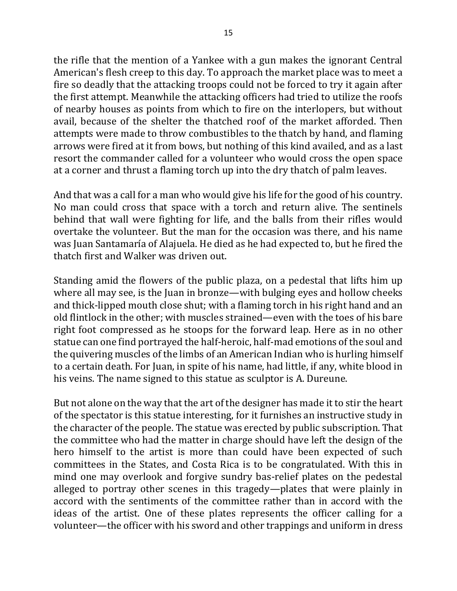the rifle that the mention of a Yankee with a gun makes the ignorant Central American's flesh creep to this day. To approach the market place was to meet a fire so deadly that the attacking troops could not be forced to try it again after the first attempt. Meanwhile the attacking officers had tried to utilize the roofs of nearby houses as points from which to fire on the interlopers, but without avail, because of the shelter the thatched roof of the market afforded. Then attempts were made to throw combustibles to the thatch by hand, and flaming arrows were fired at it from bows, but nothing of this kind availed, and as a last resort the commander called for a volunteer who would cross the open space at a corner and thrust a flaming torch up into the dry thatch of palm leaves.

And that was a call for a man who would give his life for the good of his country. No man could cross that space with a torch and return alive. The sentinels behind that wall were fighting for life, and the balls from their rifles would overtake the volunteer. But the man for the occasion was there, and his name was Juan Santamaría of Alajuela. He died as he had expected to, but he fired the thatch first and Walker was driven out.

Standing amid the flowers of the public plaza, on a pedestal that lifts him up where all may see, is the Juan in bronze—with bulging eyes and hollow cheeks and thick-lipped mouth close shut; with a flaming torch in his right hand and an old flintlock in the other; with muscles strained—even with the toes of his bare right foot compressed as he stoops for the forward leap. Here as in no other statue can one find portrayed the half-heroic, half-mad emotions of the soul and the quivering muscles of the limbs of an American Indian who is hurling himself to a certain death. For Juan, in spite of his name, had little, if any, white blood in his veins. The name signed to this statue as sculptor is A. Dureune.

But not alone on the way that the art of the designer has made it to stir the heart of the spectator is this statue interesting, for it furnishes an instructive study in the character of the people. The statue was erected by public subscription. That the committee who had the matter in charge should have left the design of the hero himself to the artist is more than could have been expected of such committees in the States, and Costa Rica is to be congratulated. With this in mind one may overlook and forgive sundry bas-relief plates on the pedestal alleged to portray other scenes in this tragedy—plates that were plainly in accord with the sentiments of the committee rather than in accord with the ideas of the artist. One of these plates represents the officer calling for a volunteer—the officer with his sword and other trappings and uniform in dress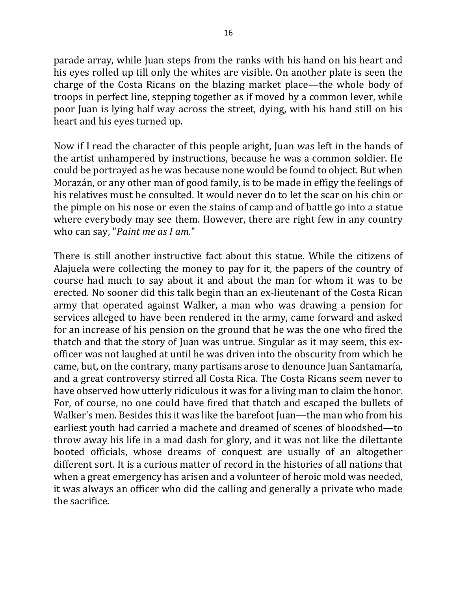parade array, while Juan steps from the ranks with his hand on his heart and his eyes rolled up till only the whites are visible. On another plate is seen the charge of the Costa Ricans on the blazing market place—the whole body of troops in perfect line, stepping together as if moved by a common lever, while poor Juan is lying half way across the street, dying, with his hand still on his heart and his eyes turned up.

Now if I read the character of this people aright, Juan was left in the hands of the artist unhampered by instructions, because he was a common soldier. He could be portrayed as he was because none would be found to object. But when Morazán, or any other man of good family, is to be made in effigy the feelings of his relatives must be consulted. It would never do to let the scar on his chin or the pimple on his nose or even the stains of camp and of battle go into a statue where everybody may see them. However, there are right few in any country who can say, "*Paint me as I am*."

There is still another instructive fact about this statue. While the citizens of Alajuela were collecting the money to pay for it, the papers of the country of course had much to say about it and about the man for whom it was to be erected. No sooner did this talk begin than an ex-lieutenant of the Costa Rican army that operated against Walker, a man who was drawing a pension for services alleged to have been rendered in the army, came forward and asked for an increase of his pension on the ground that he was the one who fired the thatch and that the story of Juan was untrue. Singular as it may seem, this exofficer was not laughed at until he was driven into the obscurity from which he came, but, on the contrary, many partisans arose to denounce Juan Santamaría, and a great controversy stirred all Costa Rica. The Costa Ricans seem never to have observed how utterly ridiculous it was for a living man to claim the honor. For, of course, no one could have fired that thatch and escaped the bullets of Walker's men. Besides this it was like the barefoot Juan—the man who from his earliest youth had carried a machete and dreamed of scenes of bloodshed—to throw away his life in a mad dash for glory, and it was not like the dilettante booted officials, whose dreams of conquest are usually of an altogether different sort. It is a curious matter of record in the histories of all nations that when a great emergency has arisen and a volunteer of heroic mold was needed, it was always an officer who did the calling and generally a private who made the sacrifice.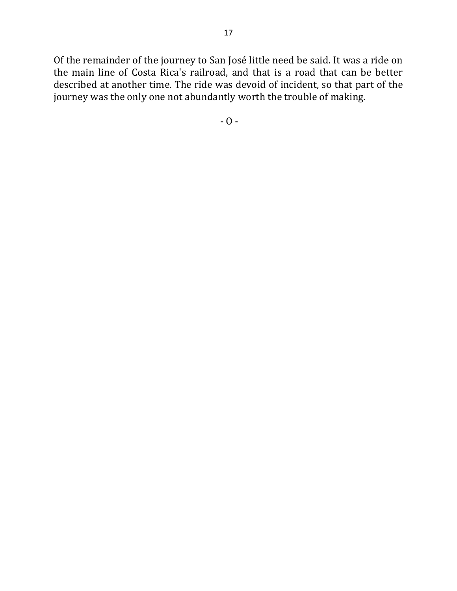Of the remainder of the journey to San José little need be said. It was a ride on the main line of Costa Rica's railroad, and that is a road that can be better described at another time. The ride was devoid of incident, so that part of the journey was the only one not abundantly worth the trouble of making.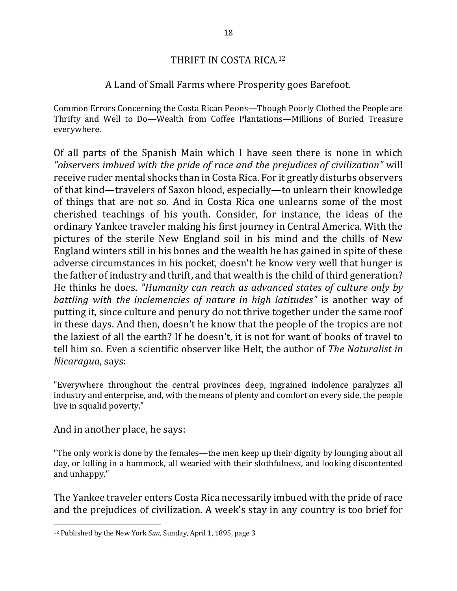#### THRIFT IN COSTA RICA.<sup>12</sup>

#### A Land of Small Farms where Prosperity goes Barefoot.

Common Errors Concerning the Costa Rican Peons—Though Poorly Clothed the People are Thrifty and Well to Do—Wealth from Coffee Plantations—Millions of Buried Treasure everywhere.

Of all parts of the Spanish Main which I have seen there is none in which "*observers* imbued with the pride of race and the prejudices of civilization" will receive ruder mental shocks than in Costa Rica. For it greatly disturbs observers of that kind—travelers of Saxon blood, especially—to unlearn their knowledge of things that are not so. And in Costa Rica one unlearns some of the most cherished teachings of his youth. Consider, for instance, the ideas of the ordinary Yankee traveler making his first journey in Central America. With the pictures of the sterile New England soil in his mind and the chills of New England winters still in his bones and the wealth he has gained in spite of these adverse circumstances in his pocket, doesn't he know very well that hunger is the father of industry and thrift, and that wealth is the child of third generation? He thinks he does. *"Humanity can reach as advanced states of culture only by battling* with the *inclemencies* of nature in high latitudes" is another way of putting it, since culture and penury do not thrive together under the same roof in these days. And then, doesn't he know that the people of the tropics are not the laziest of all the earth? If he doesn't, it is not for want of books of travel to tell him so. Even a scientific observer like Helt, the author of *The Naturalist in Nicaragua*, says:

"Everywhere throughout the central provinces deep, ingrained indolence paralyzes all industry and enterprise, and, with the means of plenty and comfort on every side, the people live in squalid poverty."

And in another place, he says:

 $\overline{a}$ 

"The only work is done by the females—the men keep up their dignity by lounging about all day, or lolling in a hammock, all wearied with their slothfulness, and looking discontented and unhappy."

The Yankee traveler enters Costa Rica necessarily imbued with the pride of race and the prejudices of civilization. A week's stay in any country is too brief for

<sup>&</sup>lt;sup>12</sup> Published by the New York Sun, Sunday, April 1, 1895, page 3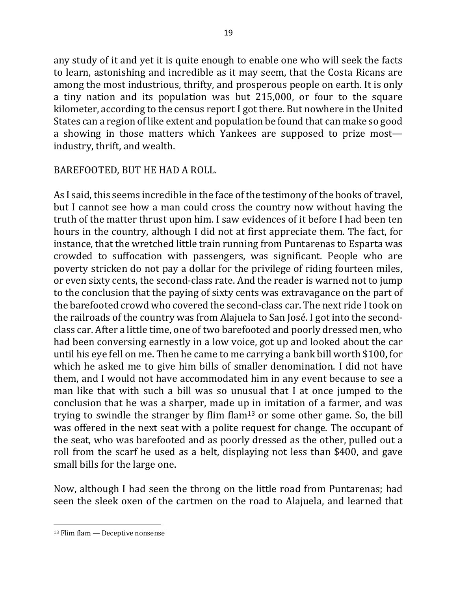any study of it and yet it is quite enough to enable one who will seek the facts to learn, astonishing and incredible as it may seem, that the Costa Ricans are among the most industrious, thrifty, and prosperous people on earth. It is only a tiny nation and its population was but 215,000, or four to the square kilometer, according to the census report I got there. But nowhere in the United States can a region of like extent and population be found that can make so good a showing in those matters which Yankees are supposed to prize most industry, thrift, and wealth.

## BAREFOOTED, BUT HE HAD A ROLL.

As I said, this seems incredible in the face of the testimony of the books of travel, but I cannot see how a man could cross the country now without having the truth of the matter thrust upon him. I saw evidences of it before I had been ten hours in the country, although I did not at first appreciate them. The fact, for instance, that the wretched little train running from Puntarenas to Esparta was crowded to suffocation with passengers, was significant. People who are poverty stricken do not pay a dollar for the privilege of riding fourteen miles, or even sixty cents, the second-class rate. And the reader is warned not to jump to the conclusion that the paying of sixty cents was extravagance on the part of the barefooted crowd who covered the second-class car. The next ride I took on the railroads of the country was from Alajuela to San José. I got into the secondclass car. After a little time, one of two barefooted and poorly dressed men, who had been conversing earnestly in a low voice, got up and looked about the car until his eye fell on me. Then he came to me carrying a bank bill worth \$100, for which he asked me to give him bills of smaller denomination. I did not have them, and I would not have accommodated him in any event because to see a man like that with such a bill was so unusual that I at once jumped to the conclusion that he was a sharper, made up in imitation of a farmer, and was trying to swindle the stranger by flim flam<sup>13</sup> or some other game. So, the bill was offered in the next seat with a polite request for change. The occupant of the seat, who was barefooted and as poorly dressed as the other, pulled out a roll from the scarf he used as a belt, displaying not less than \$400, and gave small bills for the large one.

Now, although I had seen the throng on the little road from Puntarenas; had seen the sleek oxen of the cartmen on the road to Alajuela, and learned that

 $13$  Flim flam  $-$  Deceptive nonsense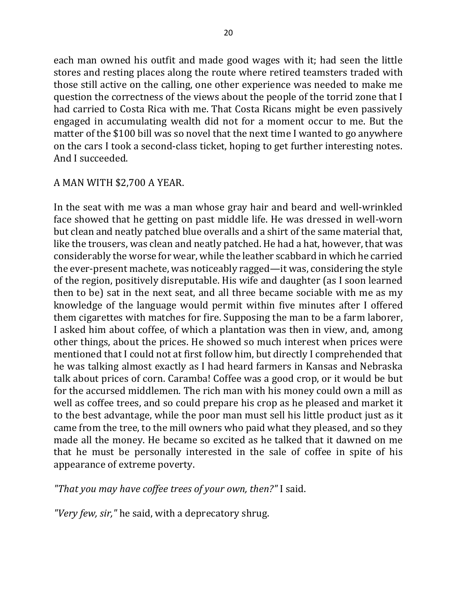each man owned his outfit and made good wages with it; had seen the little stores and resting places along the route where retired teamsters traded with those still active on the calling, one other experience was needed to make me question the correctness of the views about the people of the torrid zone that I had carried to Costa Rica with me. That Costa Ricans might be even passively engaged in accumulating wealth did not for a moment occur to me. But the matter of the \$100 bill was so novel that the next time I wanted to go anywhere on the cars I took a second-class ticket, hoping to get further interesting notes. And I succeeded.

#### A MAN WITH \$2,700 A YEAR.

In the seat with me was a man whose gray hair and beard and well-wrinkled face showed that he getting on past middle life. He was dressed in well-worn but clean and neatly patched blue overalls and a shirt of the same material that, like the trousers, was clean and neatly patched. He had a hat, however, that was considerably the worse for wear, while the leather scabbard in which he carried the ever-present machete, was noticeably ragged—it was, considering the style of the region, positively disreputable. His wife and daughter (as I soon learned then to be) sat in the next seat, and all three became sociable with me as my knowledge of the language would permit within five minutes after I offered them cigarettes with matches for fire. Supposing the man to be a farm laborer, I asked him about coffee, of which a plantation was then in view, and, among other things, about the prices. He showed so much interest when prices were mentioned that I could not at first follow him, but directly I comprehended that he was talking almost exactly as I had heard farmers in Kansas and Nebraska talk about prices of corn. Caramba! Coffee was a good crop, or it would be but for the accursed middlemen. The rich man with his money could own a mill as well as coffee trees, and so could prepare his crop as he pleased and market it to the best advantage, while the poor man must sell his little product just as it came from the tree, to the mill owners who paid what they pleased, and so they made all the money. He became so excited as he talked that it dawned on me that he must be personally interested in the sale of coffee in spite of his appearance of extreme poverty.

"That you may have coffee trees of your own, then?" I said.

*"Very few, sir,"* he said, with a deprecatory shrug.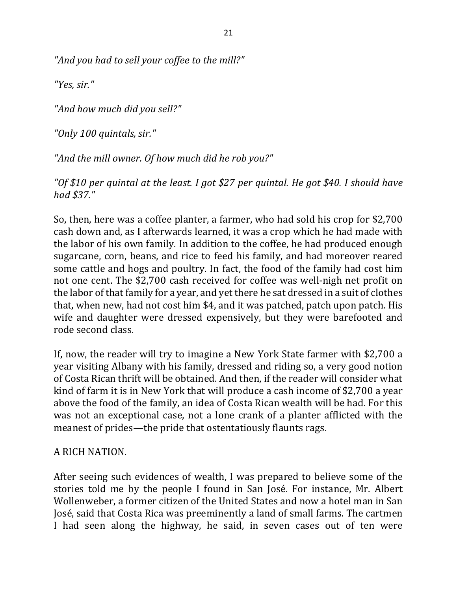"And you had to sell your coffee to the mill?"

*"Yes, sir."*

*"And how much did you sell?"*

*"Only 100 quintals, sir."*

"And the mill owner. Of how much did he rob you?"

"Of \$10 per quintal at the least. I got \$27 per quintal. He got \$40. I should have *had \$37."*

So, then, here was a coffee planter, a farmer, who had sold his crop for \$2,700 cash down and, as I afterwards learned, it was a crop which he had made with the labor of his own family. In addition to the coffee, he had produced enough sugarcane, corn, beans, and rice to feed his family, and had moreover reared some cattle and hogs and poultry. In fact, the food of the family had cost him not one cent. The \$2,700 cash received for coffee was well-nigh net profit on the labor of that family for a year, and yet there he sat dressed in a suit of clothes that, when new, had not cost him \$4, and it was patched, patch upon patch. His wife and daughter were dressed expensively, but they were barefooted and rode second class.

If, now, the reader will try to imagine a New York State farmer with \$2,700 a year visiting Albany with his family, dressed and riding so, a very good notion of Costa Rican thrift will be obtained. And then, if the reader will consider what kind of farm it is in New York that will produce a cash income of \$2,700 a year above the food of the family, an idea of Costa Rican wealth will be had. For this was not an exceptional case, not a lone crank of a planter afflicted with the meanest of prides—the pride that ostentatiously flaunts rags.

## A RICH NATION.

After seeing such evidences of wealth, I was prepared to believe some of the stories told me by the people I found in San José. For instance, Mr. Albert Wollenweber, a former citizen of the United States and now a hotel man in San José, said that Costa Rica was preeminently a land of small farms. The cartmen I had seen along the highway, he said, in seven cases out of ten were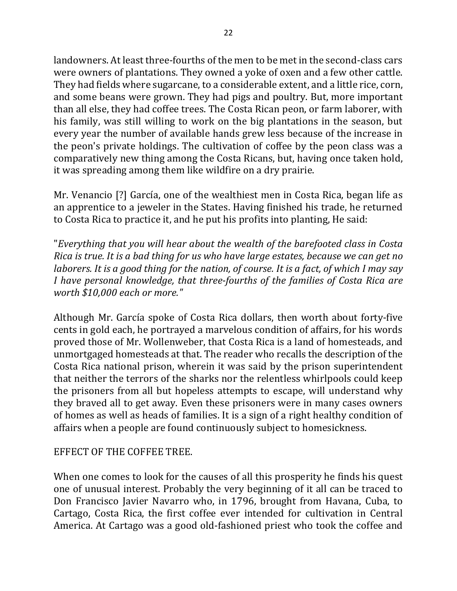landowners. At least three-fourths of the men to be met in the second-class cars were owners of plantations. They owned a yoke of oxen and a few other cattle. They had fields where sugarcane, to a considerable extent, and a little rice, corn, and some beans were grown. They had pigs and poultry. But, more important than all else, they had coffee trees. The Costa Rican peon, or farm laborer, with his family, was still willing to work on the big plantations in the season, but every year the number of available hands grew less because of the increase in the peon's private holdings. The cultivation of coffee by the peon class was a comparatively new thing among the Costa Ricans, but, having once taken hold, it was spreading among them like wildfire on a dry prairie.

Mr. Venancio [?] García, one of the wealthiest men in Costa Rica, began life as an apprentice to a jeweler in the States. Having finished his trade, he returned to Costa Rica to practice it, and he put his profits into planting, He said:

"*Everything that you will hear about the wealth of the barefooted class in Costa Rica is true. It is a bad thing for us who have large estates, because we can get no laborers. It is a good thing for the nation, of course. It is a fact, of which I may say I* have personal knowledge, that three-fourths of the families of Costa Rica are *worth \$10,000 each or more."*

Although Mr. García spoke of Costa Rica dollars, then worth about forty-five cents in gold each, he portrayed a marvelous condition of affairs, for his words proved those of Mr. Wollenweber, that Costa Rica is a land of homesteads, and unmortgaged homesteads at that. The reader who recalls the description of the Costa Rica national prison, wherein it was said by the prison superintendent that neither the terrors of the sharks nor the relentless whirlpools could keep the prisoners from all but hopeless attempts to escape, will understand why they braved all to get away. Even these prisoners were in many cases owners of homes as well as heads of families. It is a sign of a right healthy condition of affairs when a people are found continuously subject to homesickness.

## EFFECT OF THE COFFEE TREE.

When one comes to look for the causes of all this prosperity he finds his quest one of unusual interest. Probably the very beginning of it all can be traced to Don Francisco Javier Navarro who, in 1796, brought from Havana, Cuba, to Cartago, Costa Rica, the first coffee ever intended for cultivation in Central America. At Cartago was a good old-fashioned priest who took the coffee and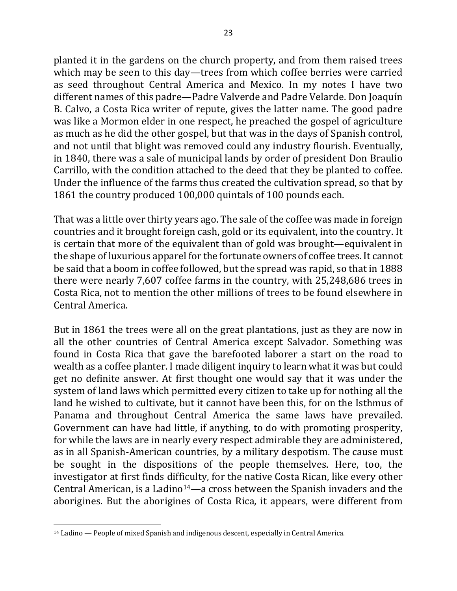planted it in the gardens on the church property, and from them raised trees which may be seen to this day—trees from which coffee berries were carried as seed throughout Central America and Mexico. In my notes I have two different names of this padre—Padre Valverde and Padre Velarde. Don Joaquín B. Calvo, a Costa Rica writer of repute, gives the latter name. The good padre was like a Mormon elder in one respect, he preached the gospel of agriculture as much as he did the other gospel, but that was in the days of Spanish control, and not until that blight was removed could any industry flourish. Eventually, in 1840, there was a sale of municipal lands by order of president Don Braulio Carrillo, with the condition attached to the deed that they be planted to coffee. Under the influence of the farms thus created the cultivation spread, so that by 1861 the country produced 100,000 quintals of 100 pounds each.

That was a little over thirty years ago. The sale of the coffee was made in foreign countries and it brought foreign cash, gold or its equivalent, into the country. It is certain that more of the equivalent than of gold was brought—equivalent in the shape of luxurious apparel for the fortunate owners of coffee trees. It cannot be said that a boom in coffee followed, but the spread was rapid, so that in 1888 there were nearly 7,607 coffee farms in the country, with 25,248,686 trees in Costa Rica, not to mention the other millions of trees to be found elsewhere in Central America.

But in 1861 the trees were all on the great plantations, just as they are now in all the other countries of Central America except Salvador. Something was found in Costa Rica that gave the barefooted laborer a start on the road to wealth as a coffee planter. I made diligent inquiry to learn what it was but could get no definite answer. At first thought one would say that it was under the system of land laws which permitted every citizen to take up for nothing all the land he wished to cultivate, but it cannot have been this, for on the Isthmus of Panama and throughout Central America the same laws have prevailed. Government can have had little, if anything, to do with promoting prosperity, for while the laws are in nearly every respect admirable they are administered, as in all Spanish-American countries, by a military despotism. The cause must be sought in the dispositions of the people themselves. Here, too, the investigator at first finds difficulty, for the native Costa Rican, like every other Central American, is a Ladino<sup>14</sup>—a cross between the Spanish invaders and the aborigines. But the aborigines of Costa Rica, it appears, were different from

 $\overline{a}$ <sup>14</sup> Ladino — People of mixed Spanish and indigenous descent, especially in Central America.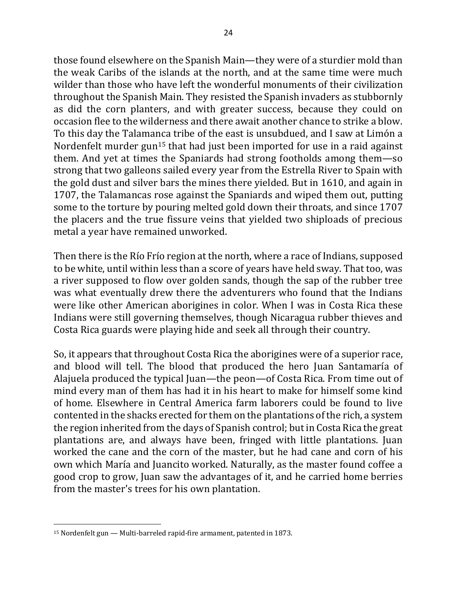those found elsewhere on the Spanish Main—they were of a sturdier mold than the weak Caribs of the islands at the north, and at the same time were much wilder than those who have left the wonderful monuments of their civilization throughout the Spanish Main. They resisted the Spanish invaders as stubbornly as did the corn planters, and with greater success, because they could on occasion flee to the wilderness and there await another chance to strike a blow. To this day the Talamanca tribe of the east is unsubdued, and I saw at Limón a Nordenfelt murder  $gun^{15}$  that had just been imported for use in a raid against them. And yet at times the Spaniards had strong footholds among them—so strong that two galleons sailed every year from the Estrella River to Spain with the gold dust and silver bars the mines there yielded. But in 1610, and again in 1707, the Talamancas rose against the Spaniards and wiped them out, putting some to the torture by pouring melted gold down their throats, and since 1707 the placers and the true fissure veins that yielded two shiploads of precious metal a year have remained unworked.

Then there is the Río Frío region at the north, where a race of Indians, supposed to be white, until within less than a score of years have held sway. That too, was a river supposed to flow over golden sands, though the sap of the rubber tree was what eventually drew there the adventurers who found that the Indians were like other American aborigines in color. When I was in Costa Rica these Indians were still governing themselves, though Nicaragua rubber thieves and Costa Rica guards were playing hide and seek all through their country.

So, it appears that throughout Costa Rica the aborigines were of a superior race, and blood will tell. The blood that produced the hero Juan Santamaría of Alajuela produced the typical Juan—the peon—of Costa Rica. From time out of mind every man of them has had it in his heart to make for himself some kind of home. Elsewhere in Central America farm laborers could be found to live contented in the shacks erected for them on the plantations of the rich, a system the region inherited from the days of Spanish control; but in Costa Rica the great plantations are, and always have been, fringed with little plantations. Juan worked the cane and the corn of the master, but he had cane and corn of his own which María and Juancito worked. Naturally, as the master found coffee a good crop to grow, Juan saw the advantages of it, and he carried home berries from the master's trees for his own plantation.

 $15$  Nordenfelt gun  $-$  Multi-barreled rapid-fire armament, patented in 1873.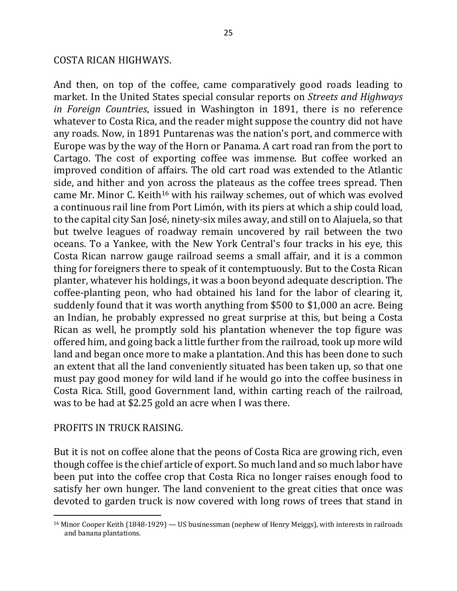#### COSTA RICAN HIGHWAYS.

And then, on top of the coffee, came comparatively good roads leading to market. In the United States special consular reports on *Streets and Highways in Foreign Countries*, issued in Washington in 1891, there is no reference whatever to Costa Rica, and the reader might suppose the country did not have any roads. Now, in 1891 Puntarenas was the nation's port, and commerce with Europe was by the way of the Horn or Panama. A cart road ran from the port to Cartago. The cost of exporting coffee was immense. But coffee worked an improved condition of affairs. The old cart road was extended to the Atlantic side, and hither and yon across the plateaus as the coffee trees spread. Then came Mr. Minor C. Keith<sup>16</sup> with his railway schemes, out of which was evolved a continuous rail line from Port Limón, with its piers at which a ship could load, to the capital city San José, ninety-six miles away, and still on to Alajuela, so that but twelve leagues of roadway remain uncovered by rail between the two oceans. To a Yankee, with the New York Central's four tracks in his eye, this Costa Rican narrow gauge railroad seems a small affair, and it is a common thing for foreigners there to speak of it contemptuously. But to the Costa Rican planter, whatever his holdings, it was a boon beyond adequate description. The coffee-planting peon, who had obtained his land for the labor of clearing it, suddenly found that it was worth anything from \$500 to \$1,000 an acre. Being an Indian, he probably expressed no great surprise at this, but being a Costa Rican as well, he promptly sold his plantation whenever the top figure was offered him, and going back a little further from the railroad, took up more wild land and began once more to make a plantation. And this has been done to such an extent that all the land conveniently situated has been taken up, so that one must pay good money for wild land if he would go into the coffee business in Costa Rica. Still, good Government land, within carting reach of the railroad, was to be had at \$2.25 gold an acre when I was there.

#### PROFITS IN TRUCK RAISING.

 $\overline{a}$ 

But it is not on coffee alone that the peons of Costa Rica are growing rich, even though coffee is the chief article of export. So much land and so much labor have been put into the coffee crop that Costa Rica no longer raises enough food to satisfy her own hunger. The land convenient to the great cities that once was devoted to garden truck is now covered with long rows of trees that stand in

 $16$  Minor Cooper Keith  $(1848-1929)$  — US businessman (nephew of Henry Meiggs), with interests in railroads and banana plantations.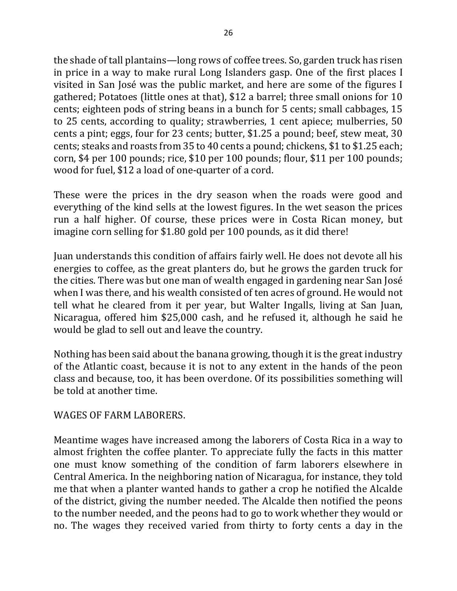the shade of tall plantains—long rows of coffee trees. So, garden truck has risen in price in a way to make rural Long Islanders gasp. One of the first places I visited in San José was the public market, and here are some of the figures I gathered; Potatoes (little ones at that), \$12 a barrel; three small onions for 10 cents; eighteen pods of string beans in a bunch for 5 cents; small cabbages, 15 to 25 cents, according to quality; strawberries, 1 cent apiece; mulberries, 50 cents a pint; eggs, four for 23 cents; butter, \$1.25 a pound; beef, stew meat, 30 cents; steaks and roasts from 35 to 40 cents a pound; chickens, \$1 to \$1.25 each; corn, \$4 per 100 pounds; rice, \$10 per 100 pounds; flour, \$11 per 100 pounds; wood for fuel, \$12 a load of one-quarter of a cord.

These were the prices in the dry season when the roads were good and everything of the kind sells at the lowest figures. In the wet season the prices run a half higher. Of course, these prices were in Costa Rican money, but imagine corn selling for \$1.80 gold per 100 pounds, as it did there!

Juan understands this condition of affairs fairly well. He does not devote all his energies to coffee, as the great planters do, but he grows the garden truck for the cities. There was but one man of wealth engaged in gardening near San José when I was there, and his wealth consisted of ten acres of ground. He would not tell what he cleared from it per year, but Walter Ingalls, living at San Juan, Nicaragua, offered him \$25,000 cash, and he refused it, although he said he would be glad to sell out and leave the country.

Nothing has been said about the banana growing, though it is the great industry of the Atlantic coast, because it is not to any extent in the hands of the peon class and because, too, it has been overdone. Of its possibilities something will be told at another time.

## WAGES OF FARM LABORERS.

Meantime wages have increased among the laborers of Costa Rica in a way to almost frighten the coffee planter. To appreciate fully the facts in this matter one must know something of the condition of farm laborers elsewhere in Central America. In the neighboring nation of Nicaragua, for instance, they told me that when a planter wanted hands to gather a crop he notified the Alcalde of the district, giving the number needed. The Alcalde then notified the peons to the number needed, and the peons had to go to work whether they would or no. The wages they received varied from thirty to forty cents a day in the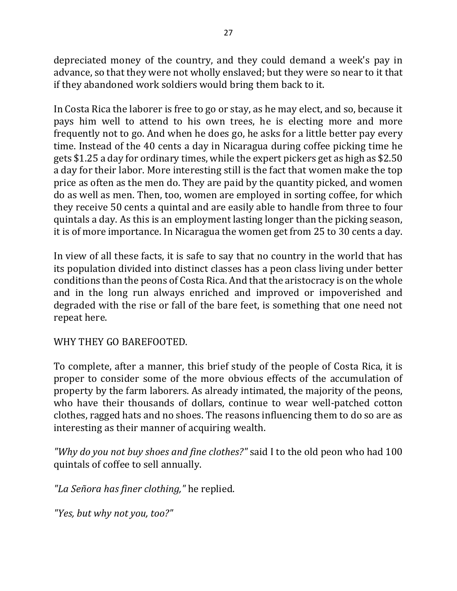depreciated money of the country, and they could demand a week's pay in advance, so that they were not wholly enslaved; but they were so near to it that if they abandoned work soldiers would bring them back to it.

In Costa Rica the laborer is free to go or stay, as he may elect, and so, because it pays him well to attend to his own trees, he is electing more and more frequently not to go. And when he does go, he asks for a little better pay every time. Instead of the 40 cents a day in Nicaragua during coffee picking time he gets  $$1.25$  a day for ordinary times, while the expert pickers get as high as  $$2.50$ a day for their labor. More interesting still is the fact that women make the top price as often as the men do. They are paid by the quantity picked, and women do as well as men. Then, too, women are employed in sorting coffee, for which they receive 50 cents a quintal and are easily able to handle from three to four quintals a day. As this is an employment lasting longer than the picking season, it is of more importance. In Nicaragua the women get from 25 to 30 cents a day.

In view of all these facts, it is safe to say that no country in the world that has its population divided into distinct classes has a peon class living under better conditions than the peons of Costa Rica. And that the aristocracy is on the whole and in the long run always enriched and improved or impoverished and degraded with the rise or fall of the bare feet, is something that one need not repeat here.

WHY THEY GO BAREFOOTED.

To complete, after a manner, this brief study of the people of Costa Rica, it is proper to consider some of the more obvious effects of the accumulation of property by the farm laborers. As already intimated, the majority of the peons, who have their thousands of dollars, continue to wear well-patched cotton clothes, ragged hats and no shoes. The reasons influencing them to do so are as interesting as their manner of acquiring wealth.

*"Why do you not buy shoes and fine clothes?"* said I to the old peon who had 100 quintals of coffee to sell annually.

*"La Señora has finer clothing,"* he replied.

*"Yes, but why not you, too?"*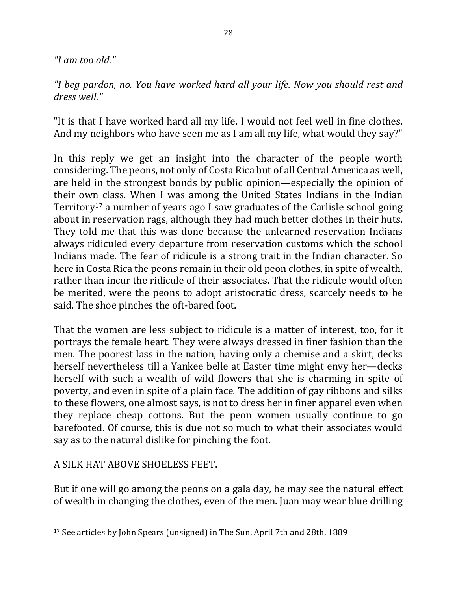*"I am too old."*

*"I beg pardon, no. You have worked hard all your life. Now you should rest and dress well."*

"It is that I have worked hard all my life. I would not feel well in fine clothes. And my neighbors who have seen me as I am all my life, what would they say?"

In this reply we get an insight into the character of the people worth considering. The peons, not only of Costa Rica but of all Central America as well, are held in the strongest bonds by public opinion—especially the opinion of their own class. When I was among the United States Indians in the Indian Territory<sup>17</sup> a number of years ago I saw graduates of the Carlisle school going about in reservation rags, although they had much better clothes in their huts. They told me that this was done because the unlearned reservation Indians always ridiculed every departure from reservation customs which the school Indians made. The fear of ridicule is a strong trait in the Indian character. So here in Costa Rica the peons remain in their old peon clothes, in spite of wealth, rather than incur the ridicule of their associates. That the ridicule would often be merited, were the peons to adopt aristocratic dress, scarcely needs to be said. The shoe pinches the oft-bared foot.

That the women are less subject to ridicule is a matter of interest, too, for it portrays the female heart. They were always dressed in finer fashion than the men. The poorest lass in the nation, having only a chemise and a skirt, decks herself nevertheless till a Yankee belle at Easter time might envy her—decks herself with such a wealth of wild flowers that she is charming in spite of poverty, and even in spite of a plain face. The addition of gay ribbons and silks to these flowers, one almost says, is not to dress her in finer apparel even when they replace cheap cottons. But the peon women usually continue to go barefooted. Of course, this is due not so much to what their associates would say as to the natural dislike for pinching the foot.

A SILK HAT ABOVE SHOELESS FEET.

 $\overline{a}$ 

But if one will go among the peons on a gala day, he may see the natural effect of wealth in changing the clothes, even of the men. Juan may wear blue drilling

<sup>&</sup>lt;sup>17</sup> See articles by John Spears (unsigned) in The Sun, April 7th and 28th, 1889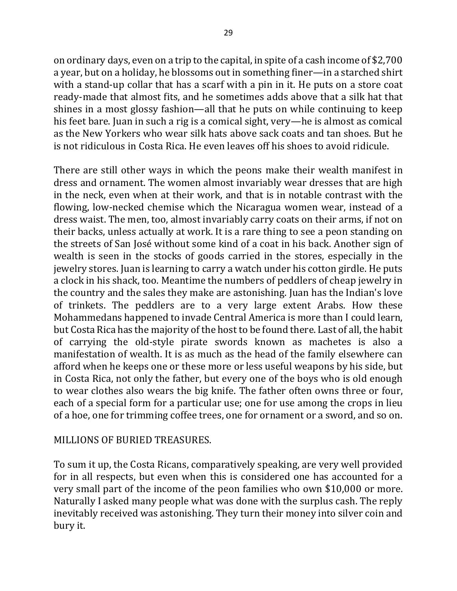on ordinary days, even on a trip to the capital, in spite of a cash income of \$2,700 a year, but on a holiday, he blossoms out in something finer—in a starched shirt with a stand-up collar that has a scarf with a pin in it. He puts on a store coat ready-made that almost fits, and he sometimes adds above that a silk hat that shines in a most glossy fashion—all that he puts on while continuing to keep his feet bare. Juan in such a rig is a comical sight, very—he is almost as comical as the New Yorkers who wear silk hats above sack coats and tan shoes. But he is not ridiculous in Costa Rica. He even leaves off his shoes to avoid ridicule.

There are still other ways in which the peons make their wealth manifest in dress and ornament. The women almost invariably wear dresses that are high in the neck, even when at their work, and that is in notable contrast with the flowing, low-necked chemise which the Nicaragua women wear, instead of a dress waist. The men, too, almost invariably carry coats on their arms, if not on their backs, unless actually at work. It is a rare thing to see a peon standing on the streets of San José without some kind of a coat in his back. Another sign of wealth is seen in the stocks of goods carried in the stores, especially in the jewelry stores. Juan is learning to carry a watch under his cotton girdle. He puts a clock in his shack, too. Meantime the numbers of peddlers of cheap jewelry in the country and the sales they make are astonishing. Juan has the Indian's love of trinkets. The peddlers are to a very large extent Arabs. How these Mohammedans happened to invade Central America is more than I could learn, but Costa Rica has the majority of the host to be found there. Last of all, the habit of carrying the old-style pirate swords known as machetes is also a manifestation of wealth. It is as much as the head of the family elsewhere can afford when he keeps one or these more or less useful weapons by his side, but in Costa Rica, not only the father, but every one of the boys who is old enough to wear clothes also wears the big knife. The father often owns three or four, each of a special form for a particular use; one for use among the crops in lieu of a hoe, one for trimming coffee trees, one for ornament or a sword, and so on.

## MILLIONS OF BURIED TREASURES.

To sum it up, the Costa Ricans, comparatively speaking, are very well provided for in all respects, but even when this is considered one has accounted for a very small part of the income of the peon families who own \$10,000 or more. Naturally I asked many people what was done with the surplus cash. The reply inevitably received was astonishing. They turn their money into silver coin and bury it.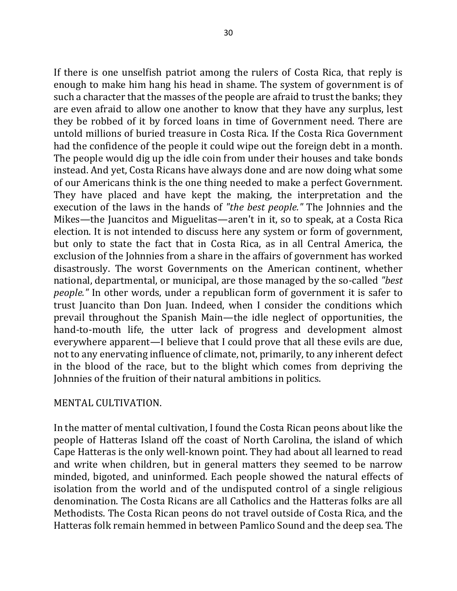If there is one unselfish patriot among the rulers of Costa Rica, that reply is enough to make him hang his head in shame. The system of government is of such a character that the masses of the people are afraid to trust the banks; they are even afraid to allow one another to know that they have any surplus, lest they be robbed of it by forced loans in time of Government need. There are untold millions of buried treasure in Costa Rica. If the Costa Rica Government had the confidence of the people it could wipe out the foreign debt in a month. The people would dig up the idle coin from under their houses and take bonds instead. And yet, Costa Ricans have always done and are now doing what some of our Americans think is the one thing needed to make a perfect Government. They have placed and have kept the making, the interpretation and the execution of the laws in the hands of "the best people." The Johnnies and the Mikes—the Juancitos and Miguelitas—aren't in it, so to speak, at a Costa Rica election. It is not intended to discuss here any system or form of government, but only to state the fact that in Costa Rica, as in all Central America, the exclusion of the Johnnies from a share in the affairs of government has worked disastrously. The worst Governments on the American continent, whether national, departmental, or municipal, are those managed by the so-called *"best people.*" In other words, under a republican form of government it is safer to trust Juancito than Don Juan. Indeed, when I consider the conditions which prevail throughout the Spanish Main—the idle neglect of opportunities, the hand-to-mouth life, the utter lack of progress and development almost everywhere apparent—I believe that I could prove that all these evils are due, not to any enervating influence of climate, not, primarily, to any inherent defect in the blood of the race, but to the blight which comes from depriving the Johnnies of the fruition of their natural ambitions in politics.

## MENTAL CULTIVATION.

In the matter of mental cultivation, I found the Costa Rican peons about like the people of Hatteras Island off the coast of North Carolina, the island of which Cape Hatteras is the only well-known point. They had about all learned to read and write when children, but in general matters they seemed to be narrow minded, bigoted, and uninformed. Each people showed the natural effects of isolation from the world and of the undisputed control of a single religious denomination. The Costa Ricans are all Catholics and the Hatteras folks are all Methodists. The Costa Rican peons do not travel outside of Costa Rica, and the Hatteras folk remain hemmed in between Pamlico Sound and the deep sea. The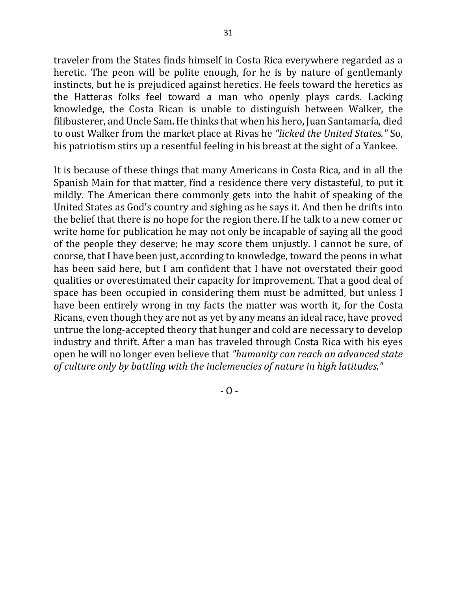traveler from the States finds himself in Costa Rica everywhere regarded as a heretic. The peon will be polite enough, for he is by nature of gentlemanly instincts, but he is prejudiced against heretics. He feels toward the heretics as the Hatteras folks feel toward a man who openly plays cards. Lacking knowledge, the Costa Rican is unable to distinguish between Walker, the filibusterer, and Uncle Sam. He thinks that when his hero, Juan Santamaría, died to oust Walker from the market place at Rivas he *"licked the United States."* So, his patriotism stirs up a resentful feeling in his breast at the sight of a Yankee.

It is because of these things that many Americans in Costa Rica, and in all the Spanish Main for that matter, find a residence there very distasteful, to put it mildly. The American there commonly gets into the habit of speaking of the United States as God's country and sighing as he says it. And then he drifts into the belief that there is no hope for the region there. If he talk to a new comer or write home for publication he may not only be incapable of saying all the good of the people they deserve; he may score them unjustly. I cannot be sure, of course, that I have been just, according to knowledge, toward the peons in what has been said here, but I am confident that I have not overstated their good qualities or overestimated their capacity for improvement. That a good deal of space has been occupied in considering them must be admitted, but unless I have been entirely wrong in my facts the matter was worth it, for the Costa Ricans, even though they are not as yet by any means an ideal race, have proved untrue the long-accepted theory that hunger and cold are necessary to develop industry and thrift. After a man has traveled through Costa Rica with his eyes open he will no longer even believe that "humanity can reach an advanced state of culture only by battling with the inclemencies of nature in high latitudes."

 $- 0 -$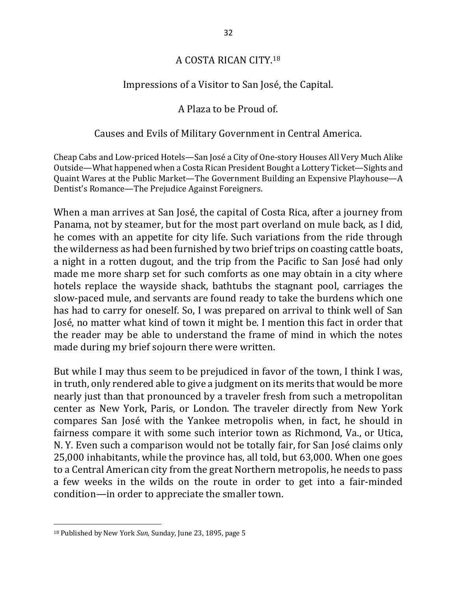## A COSTA RICAN CITY.<sup>18</sup>

## Impressions of a Visitor to San José, the Capital.

## A Plaza to be Proud of.

## Causes and Evils of Military Government in Central America.

Cheap Cabs and Low-priced Hotels—San José a City of One-story Houses All Very Much Alike Outside—What happened when a Costa Rican President Bought a Lottery Ticket—Sights and Quaint Wares at the Public Market—The Government Building an Expensive Playhouse—A Dentist's Romance—The Prejudice Against Foreigners.

When a man arrives at San José, the capital of Costa Rica, after a journey from Panama, not by steamer, but for the most part overland on mule back, as I did, he comes with an appetite for city life. Such variations from the ride through the wilderness as had been furnished by two brief trips on coasting cattle boats, a night in a rotten dugout, and the trip from the Pacific to San José had only made me more sharp set for such comforts as one may obtain in a city where hotels replace the wayside shack, bathtubs the stagnant pool, carriages the slow-paced mule, and servants are found ready to take the burdens which one has had to carry for oneself. So, I was prepared on arrival to think well of San José, no matter what kind of town it might be. I mention this fact in order that the reader may be able to understand the frame of mind in which the notes made during my brief sojourn there were written.

But while I may thus seem to be prejudiced in favor of the town, I think I was, in truth, only rendered able to give a judgment on its merits that would be more nearly just than that pronounced by a traveler fresh from such a metropolitan center as New York, Paris, or London. The traveler directly from New York compares San José with the Yankee metropolis when, in fact, he should in fairness compare it with some such interior town as Richmond, Va., or Utica, N. Y. Even such a comparison would not be totally fair, for San José claims only 25,000 inhabitants, while the province has, all told, but 63,000. When one goes to a Central American city from the great Northern metropolis, he needs to pass a few weeks in the wilds on the route in order to get into a fair-minded condition—in order to appreciate the smaller town.

<sup>&</sup>lt;sup>18</sup> Published by New York Sun, Sunday, June 23, 1895, page 5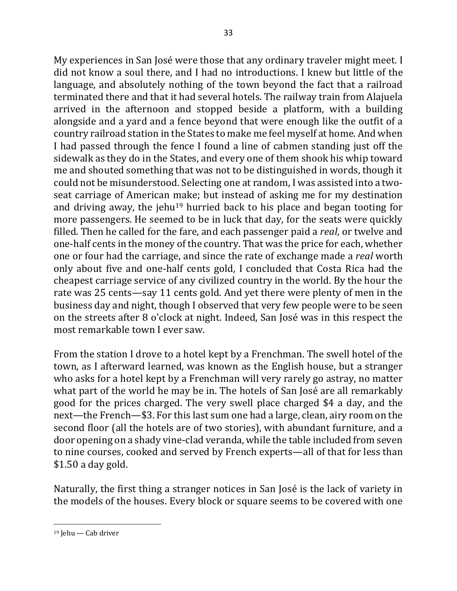My experiences in San José were those that any ordinary traveler might meet. I did not know a soul there, and I had no introductions. I knew but little of the language, and absolutely nothing of the town beyond the fact that a railroad terminated there and that it had several hotels. The railway train from Alajuela arrived in the afternoon and stopped beside a platform, with a building alongside and a yard and a fence beyond that were enough like the outfit of a country railroad station in the States to make me feel myself at home. And when I had passed through the fence I found a line of cabmen standing just off the sidewalk as they do in the States, and every one of them shook his whip toward me and shouted something that was not to be distinguished in words, though it could not be misunderstood. Selecting one at random, I was assisted into a twoseat carriage of American make; but instead of asking me for my destination and driving away, the jehu<sup>19</sup> hurried back to his place and began tooting for more passengers. He seemed to be in luck that day, for the seats were quickly filled. Then he called for the fare, and each passenger paid a *real*, or twelve and one-half cents in the money of the country. That was the price for each, whether one or four had the carriage, and since the rate of exchange made a *real* worth only about five and one-half cents gold, I concluded that Costa Rica had the cheapest carriage service of any civilized country in the world. By the hour the rate was 25 cents—say 11 cents gold. And yet there were plenty of men in the business day and night, though I observed that very few people were to be seen on the streets after 8 o'clock at night. Indeed, San José was in this respect the most remarkable town I ever saw.

From the station I drove to a hotel kept by a Frenchman. The swell hotel of the town, as I afterward learned, was known as the English house, but a stranger who asks for a hotel kept by a Frenchman will very rarely go astray, no matter what part of the world he may be in. The hotels of San José are all remarkably good for the prices charged. The very swell place charged \$4 a day, and the next—the French—\$3. For this last sum one had a large, clean, airy room on the second floor (all the hotels are of two stories), with abundant furniture, and a door opening on a shady vine-clad veranda, while the table included from seven to nine courses, cooked and served by French experts—all of that for less than  $$1.50$  a day gold.

Naturally, the first thing a stranger notices in San José is the lack of variety in the models of the houses. Every block or square seems to be covered with one

 $19$  Jehu — Cab driver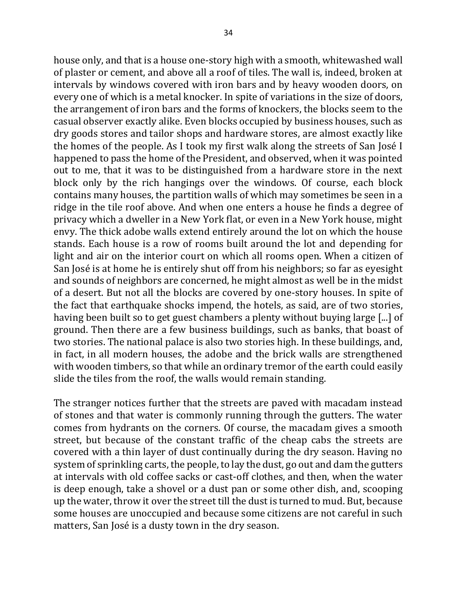house only, and that is a house one-story high with a smooth, whitewashed wall of plaster or cement, and above all a roof of tiles. The wall is, indeed, broken at intervals by windows covered with iron bars and by heavy wooden doors, on every one of which is a metal knocker. In spite of variations in the size of doors, the arrangement of iron bars and the forms of knockers, the blocks seem to the casual observer exactly alike. Even blocks occupied by business houses, such as dry goods stores and tailor shops and hardware stores, are almost exactly like the homes of the people. As I took my first walk along the streets of San José I happened to pass the home of the President, and observed, when it was pointed out to me, that it was to be distinguished from a hardware store in the next block only by the rich hangings over the windows. Of course, each block contains many houses, the partition walls of which may sometimes be seen in a ridge in the tile roof above. And when one enters a house he finds a degree of privacy which a dweller in a New York flat, or even in a New York house, might envy. The thick adobe walls extend entirely around the lot on which the house stands. Each house is a row of rooms built around the lot and depending for light and air on the interior court on which all rooms open. When a citizen of San José is at home he is entirely shut off from his neighbors; so far as eyesight and sounds of neighbors are concerned, he might almost as well be in the midst of a desert. But not all the blocks are covered by one-story houses. In spite of the fact that earthquake shocks impend, the hotels, as said, are of two stories, having been built so to get guest chambers a plenty without buying large [...] of ground. Then there are a few business buildings, such as banks, that boast of two stories. The national palace is also two stories high. In these buildings, and, in fact, in all modern houses, the adobe and the brick walls are strengthened with wooden timbers, so that while an ordinary tremor of the earth could easily slide the tiles from the roof, the walls would remain standing.

The stranger notices further that the streets are paved with macadam instead of stones and that water is commonly running through the gutters. The water comes from hydrants on the corners. Of course, the macadam gives a smooth street, but because of the constant traffic of the cheap cabs the streets are covered with a thin layer of dust continually during the dry season. Having no system of sprinkling carts, the people, to lay the dust, go out and dam the gutters at intervals with old coffee sacks or cast-off clothes, and then, when the water is deep enough, take a shovel or a dust pan or some other dish, and, scooping up the water, throw it over the street till the dust is turned to mud. But, because some houses are unoccupied and because some citizens are not careful in such matters, San José is a dusty town in the dry season.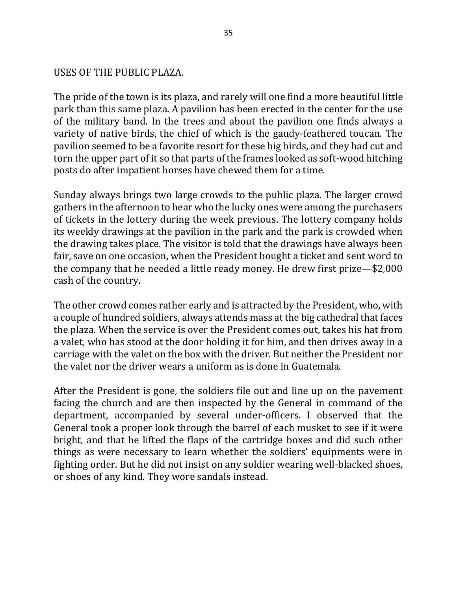#### USES OF THE PUBLIC PLAZA.

The pride of the town is its plaza, and rarely will one find a more beautiful little park than this same plaza. A pavilion has been erected in the center for the use of the military band. In the trees and about the pavilion one finds always a variety of native birds, the chief of which is the gaudy-feathered toucan. The pavilion seemed to be a favorite resort for these big birds, and they had cut and torn the upper part of it so that parts of the frames looked as soft-wood hitching posts do after impatient horses have chewed them for a time.

Sunday always brings two large crowds to the public plaza. The larger crowd gathers in the afternoon to hear who the lucky ones were among the purchasers of tickets in the lottery during the week previous. The lottery company holds its weekly drawings at the pavilion in the park and the park is crowded when the drawing takes place. The visitor is told that the drawings have always been fair, save on one occasion, when the President bought a ticket and sent word to the company that he needed a little ready money. He drew first  $prize-\$2,000$ cash of the country.

The other crowd comes rather early and is attracted by the President, who, with a couple of hundred soldiers, always attends mass at the big cathedral that faces the plaza. When the service is over the President comes out, takes his hat from a valet, who has stood at the door holding it for him, and then drives away in a carriage with the valet on the box with the driver. But neither the President nor the valet nor the driver wears a uniform as is done in Guatemala.

After the President is gone, the soldiers file out and line up on the pavement facing the church and are then inspected by the General in command of the department, accompanied by several under-officers. I observed that the General took a proper look through the barrel of each musket to see if it were bright, and that he lifted the flaps of the cartridge boxes and did such other things as were necessary to learn whether the soldiers' equipments were in fighting order. But he did not insist on any soldier wearing well-blacked shoes, or shoes of any kind. They wore sandals instead.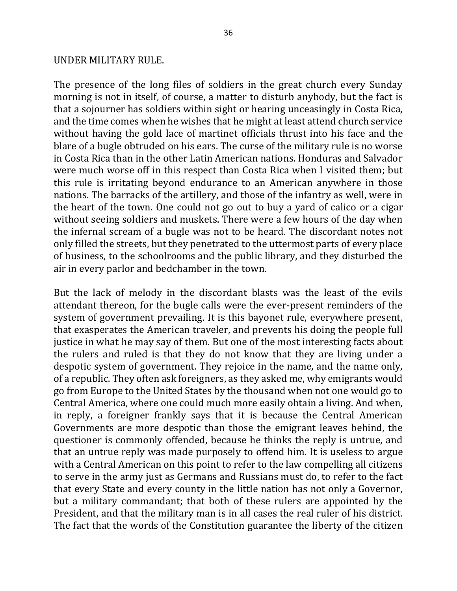#### UNDER MILITARY RULE.

The presence of the long files of soldiers in the great church every Sunday morning is not in itself, of course, a matter to disturb anybody, but the fact is that a sojourner has soldiers within sight or hearing unceasingly in Costa Rica, and the time comes when he wishes that he might at least attend church service without having the gold lace of martinet officials thrust into his face and the blare of a bugle obtruded on his ears. The curse of the military rule is no worse in Costa Rica than in the other Latin American nations. Honduras and Salvador were much worse off in this respect than Costa Rica when I visited them; but this rule is irritating beyond endurance to an American anywhere in those nations. The barracks of the artillery, and those of the infantry as well, were in the heart of the town. One could not go out to buy a yard of calico or a cigar without seeing soldiers and muskets. There were a few hours of the day when the infernal scream of a bugle was not to be heard. The discordant notes not only filled the streets, but they penetrated to the uttermost parts of every place of business, to the schoolrooms and the public library, and they disturbed the air in every parlor and bedchamber in the town.

But the lack of melody in the discordant blasts was the least of the evils attendant thereon, for the bugle calls were the ever-present reminders of the system of government prevailing. It is this bayonet rule, everywhere present, that exasperates the American traveler, and prevents his doing the people full justice in what he may say of them. But one of the most interesting facts about the rulers and ruled is that they do not know that they are living under a despotic system of government. They rejoice in the name, and the name only, of a republic. They often ask foreigners, as they asked me, why emigrants would go from Europe to the United States by the thousand when not one would go to Central America, where one could much more easily obtain a living. And when, in reply, a foreigner frankly says that it is because the Central American Governments are more despotic than those the emigrant leaves behind, the questioner is commonly offended, because he thinks the reply is untrue, and that an untrue reply was made purposely to offend him. It is useless to argue with a Central American on this point to refer to the law compelling all citizens to serve in the army just as Germans and Russians must do, to refer to the fact that every State and every county in the little nation has not only a Governor, but a military commandant; that both of these rulers are appointed by the President, and that the military man is in all cases the real ruler of his district. The fact that the words of the Constitution guarantee the liberty of the citizen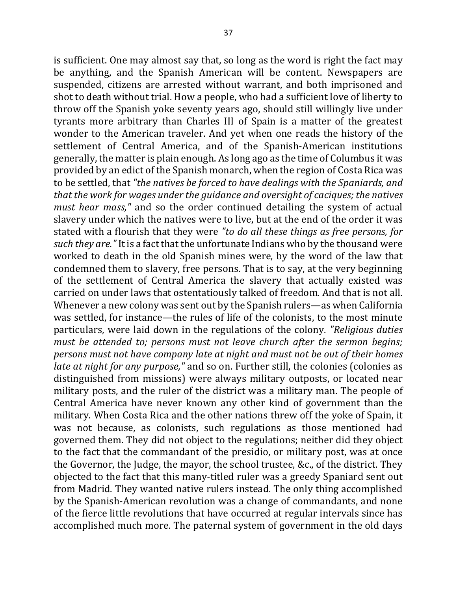is sufficient. One may almost say that, so long as the word is right the fact may be anything, and the Spanish American will be content. Newspapers are suspended, citizens are arrested without warrant, and both imprisoned and shot to death without trial. How a people, who had a sufficient love of liberty to throw off the Spanish yoke seventy years ago, should still willingly live under tyrants more arbitrary than Charles III of Spain is a matter of the greatest wonder to the American traveler. And yet when one reads the history of the settlement of Central America, and of the Spanish-American institutions generally, the matter is plain enough. As long ago as the time of Columbus it was provided by an edict of the Spanish monarch, when the region of Costa Rica was to be settled, that "the natives be forced to have dealings with the Spaniards, and *that the work for wages under the guidance and oversight of caciques; the natives must hear mass,*" and so the order continued detailing the system of actual slavery under which the natives were to live, but at the end of the order it was stated with a flourish that they were "to do all these things as free persons, for *such they are.*" It is a fact that the unfortunate Indians who by the thousand were worked to death in the old Spanish mines were, by the word of the law that condemned them to slavery, free persons. That is to say, at the very beginning of the settlement of Central America the slavery that actually existed was carried on under laws that ostentatiously talked of freedom. And that is not all. Whenever a new colony was sent out by the Spanish rulers—as when California was settled, for instance—the rules of life of the colonists, to the most minute particulars, were laid down in the regulations of the colony. *"Religious duties must be attended to; persons must not leave church after the sermon begins; persons* must not have company late at night and must not be out of their homes *late at night for any purpose,"* and so on. Further still, the colonies (colonies as distinguished from missions) were always military outposts, or located near military posts, and the ruler of the district was a military man. The people of Central America have never known any other kind of government than the military. When Costa Rica and the other nations threw off the yoke of Spain, it was not because, as colonists, such regulations as those mentioned had governed them. They did not object to the regulations; neither did they object to the fact that the commandant of the presidio, or military post, was at once the Governor, the Judge, the mayor, the school trustee, &c., of the district. They objected to the fact that this many-titled ruler was a greedy Spaniard sent out from Madrid. They wanted native rulers instead. The only thing accomplished by the Spanish-American revolution was a change of commandants, and none of the fierce little revolutions that have occurred at regular intervals since has

accomplished much more. The paternal system of government in the old days

37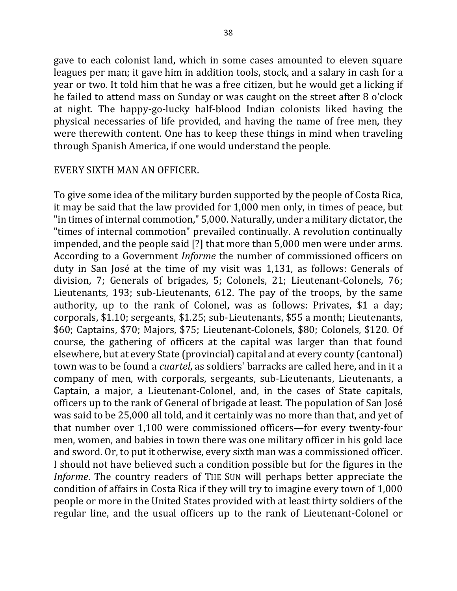gave to each colonist land, which in some cases amounted to eleven square leagues per man; it gave him in addition tools, stock, and a salary in cash for a year or two. It told him that he was a free citizen, but he would get a licking if he failed to attend mass on Sunday or was caught on the street after 8 o'clock at night. The happy-go-lucky half-blood Indian colonists liked having the physical necessaries of life provided, and having the name of free men, they were therewith content. One has to keep these things in mind when traveling through Spanish America, if one would understand the people.

#### EVERY SIXTH MAN AN OFFICER.

To give some idea of the military burden supported by the people of Costa Rica, it may be said that the law provided for 1,000 men only, in times of peace, but "in times of internal commotion," 5,000. Naturally, under a military dictator, the "times of internal commotion" prevailed continually. A revolution continually impended, and the people said [?] that more than 5,000 men were under arms. According to a Government *Informe* the number of commissioned officers on duty in San José at the time of my visit was 1,131, as follows: Generals of division, 7; Generals of brigades, 5; Colonels, 21; Lieutenant-Colonels, 76; Lieutenants, 193; sub-Lieutenants, 612. The pay of the troops, by the same authority, up to the rank of Colonel, was as follows: Privates, \$1 a day; corporals, \$1.10; sergeants, \$1.25; sub-Lieutenants, \$55 a month; Lieutenants, \$60; Captains, \$70; Majors, \$75; Lieutenant-Colonels, \$80; Colonels, \$120. Of course, the gathering of officers at the capital was larger than that found elsewhere, but at every State (provincial) capital and at every county (cantonal) town was to be found a *cuartel*, as soldiers' barracks are called here, and in it a company of men, with corporals, sergeants, sub-Lieutenants, Lieutenants, a Captain, a major, a Lieutenant-Colonel, and, in the cases of State capitals, officers up to the rank of General of brigade at least. The population of San José was said to be 25,000 all told, and it certainly was no more than that, and yet of that number over 1,100 were commissioned officers—for every twenty-four men, women, and babies in town there was one military officer in his gold lace and sword. Or, to put it otherwise, every sixth man was a commissioned officer. I should not have believed such a condition possible but for the figures in the *Informe*. The country readers of THE SUN will perhaps better appreciate the condition of affairs in Costa Rica if they will try to imagine every town of 1,000 people or more in the United States provided with at least thirty soldiers of the regular line, and the usual officers up to the rank of Lieutenant-Colonel or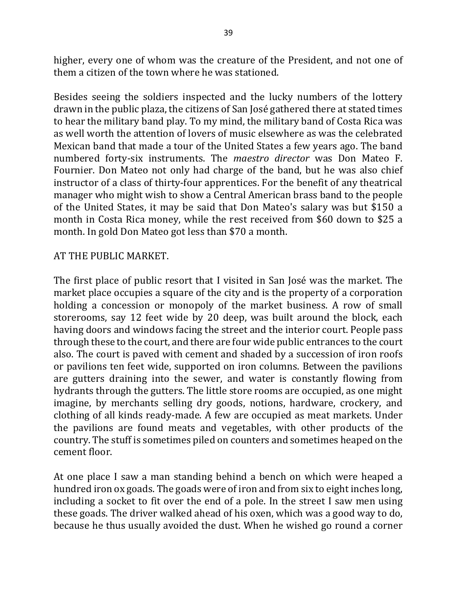higher, every one of whom was the creature of the President, and not one of them a citizen of the town where he was stationed.

Besides seeing the soldiers inspected and the lucky numbers of the lottery drawn in the public plaza, the citizens of San José gathered there at stated times to hear the military band play. To my mind, the military band of Costa Rica was as well worth the attention of lovers of music elsewhere as was the celebrated Mexican band that made a tour of the United States a few years ago. The band numbered forty-six instruments. The *maestro director* was Don Mateo F. Fournier. Don Mateo not only had charge of the band, but he was also chief instructor of a class of thirty-four apprentices. For the benefit of any theatrical manager who might wish to show a Central American brass band to the people of the United States, it may be said that Don Mateo's salary was but \$150 a month in Costa Rica money, while the rest received from \$60 down to \$25 a month. In gold Don Mateo got less than \$70 a month.

## AT THE PUBLIC MARKET.

The first place of public resort that I visited in San José was the market. The market place occupies a square of the city and is the property of a corporation holding a concession or monopoly of the market business. A row of small storerooms, say 12 feet wide by 20 deep, was built around the block, each having doors and windows facing the street and the interior court. People pass through these to the court, and there are four wide public entrances to the court also. The court is paved with cement and shaded by a succession of iron roofs or pavilions ten feet wide, supported on iron columns. Between the pavilions are gutters draining into the sewer, and water is constantly flowing from hydrants through the gutters. The little store rooms are occupied, as one might imagine, by merchants selling dry goods, notions, hardware, crockery, and clothing of all kinds ready-made. A few are occupied as meat markets. Under the pavilions are found meats and vegetables, with other products of the country. The stuff is sometimes piled on counters and sometimes heaped on the cement floor.

At one place I saw a man standing behind a bench on which were heaped a hundred iron ox goads. The goads were of iron and from six to eight inches long, including a socket to fit over the end of a pole. In the street I saw men using these goads. The driver walked ahead of his oxen, which was a good way to do, because he thus usually avoided the dust. When he wished go round a corner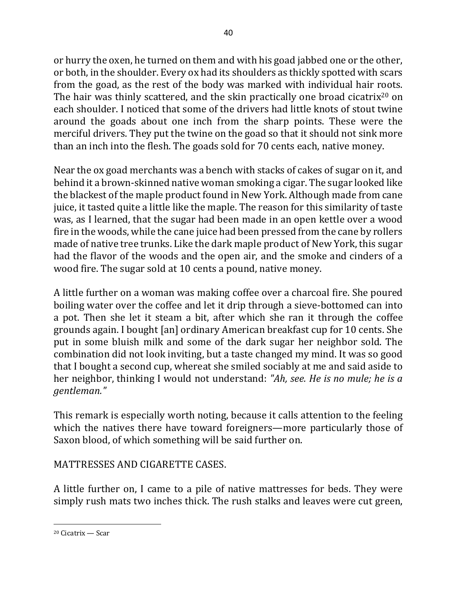or hurry the oxen, he turned on them and with his goad jabbed one or the other, or both, in the shoulder. Every ox had its shoulders as thickly spotted with scars from the goad, as the rest of the body was marked with individual hair roots. The hair was thinly scattered, and the skin practically one broad cicatrix<sup>20</sup> on each shoulder. I noticed that some of the drivers had little knots of stout twine around the goads about one inch from the sharp points. These were the merciful drivers. They put the twine on the goad so that it should not sink more than an inch into the flesh. The goads sold for 70 cents each, native money.

Near the ox goad merchants was a bench with stacks of cakes of sugar on it, and behind it a brown-skinned native woman smoking a cigar. The sugar looked like the blackest of the maple product found in New York. Although made from cane juice, it tasted quite a little like the maple. The reason for this similarity of taste was, as I learned, that the sugar had been made in an open kettle over a wood fire in the woods, while the cane juice had been pressed from the cane by rollers made of native tree trunks. Like the dark maple product of New York, this sugar had the flavor of the woods and the open air, and the smoke and cinders of a wood fire. The sugar sold at 10 cents a pound, native money.

A little further on a woman was making coffee over a charcoal fire. She poured boiling water over the coffee and let it drip through a sieve-bottomed can into a pot. Then she let it steam a bit, after which she ran it through the coffee grounds again. I bought [an] ordinary American breakfast cup for 10 cents. She put in some bluish milk and some of the dark sugar her neighbor sold. The combination did not look inviting, but a taste changed my mind. It was so good that I bought a second cup, whereat she smiled sociably at me and said aside to her neighbor, thinking I would not understand: "Ah, see. He is no mule; he is a *gentleman."*

This remark is especially worth noting, because it calls attention to the feeling which the natives there have toward foreigners—more particularly those of Saxon blood, of which something will be said further on.

# MATTRESSES AND CIGARETTE CASES.

A little further on, I came to a pile of native mattresses for beds. They were simply rush mats two inches thick. The rush stalks and leaves were cut green,

<sup>&</sup>lt;sup>20</sup> Cicatrix — Scar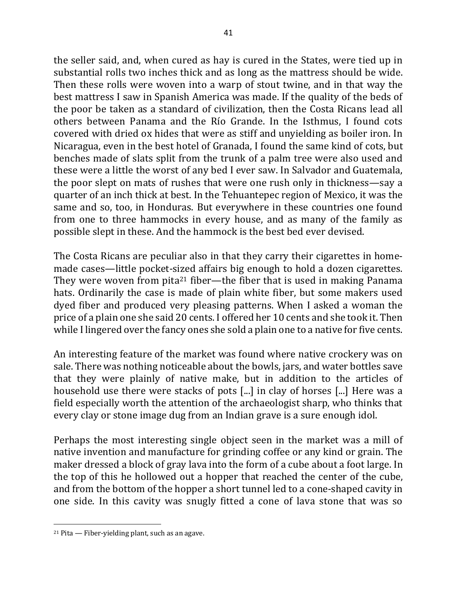the seller said, and, when cured as hay is cured in the States, were tied up in substantial rolls two inches thick and as long as the mattress should be wide. Then these rolls were woven into a warp of stout twine, and in that way the best mattress I saw in Spanish America was made. If the quality of the beds of the poor be taken as a standard of civilization, then the Costa Ricans lead all others between Panama and the Río Grande. In the Isthmus, I found cots covered with dried ox hides that were as stiff and unyielding as boiler iron. In Nicaragua, even in the best hotel of Granada, I found the same kind of cots, but benches made of slats split from the trunk of a palm tree were also used and these were a little the worst of any bed I ever saw. In Salvador and Guatemala, the poor slept on mats of rushes that were one rush only in thickness—say a quarter of an inch thick at best. In the Tehuantepec region of Mexico, it was the same and so, too, in Honduras. But everywhere in these countries one found from one to three hammocks in every house, and as many of the family as possible slept in these. And the hammock is the best bed ever devised.

The Costa Ricans are peculiar also in that they carry their cigarettes in homemade cases—little pocket-sized affairs big enough to hold a dozen cigarettes. They were woven from pita<sup>21</sup> fiber—the fiber that is used in making Panama hats. Ordinarily the case is made of plain white fiber, but some makers used dyed fiber and produced very pleasing patterns. When I asked a woman the price of a plain one she said 20 cents. I offered her 10 cents and she took it. Then while I lingered over the fancy ones she sold a plain one to a native for five cents.

An interesting feature of the market was found where native crockery was on sale. There was nothing noticeable about the bowls, jars, and water bottles save that they were plainly of native make, but in addition to the articles of household use there were stacks of pots  $[...]$  in clay of horses  $[...]$  Here was a field especially worth the attention of the archaeologist sharp, who thinks that every clay or stone image dug from an Indian grave is a sure enough idol.

Perhaps the most interesting single object seen in the market was a mill of native invention and manufacture for grinding coffee or any kind or grain. The maker dressed a block of gray lava into the form of a cube about a foot large. In the top of this he hollowed out a hopper that reached the center of the cube, and from the bottom of the hopper a short tunnel led to a cone-shaped cavity in one side. In this cavity was snugly fitted a cone of lava stone that was so

 $21$  Pita  $-$  Fiber-yielding plant, such as an agave.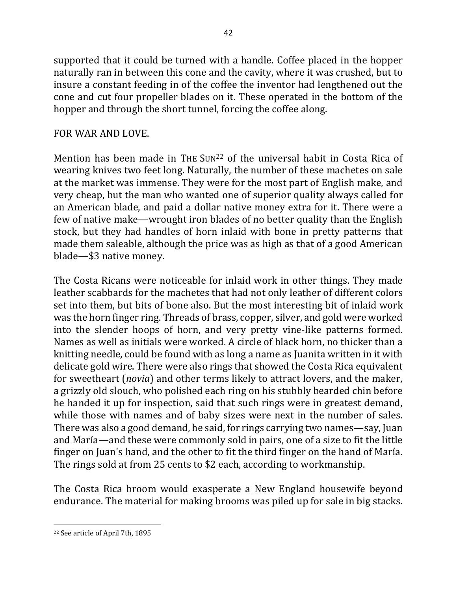supported that it could be turned with a handle. Coffee placed in the hopper naturally ran in between this cone and the cavity, where it was crushed, but to insure a constant feeding in of the coffee the inventor had lengthened out the cone and cut four propeller blades on it. These operated in the bottom of the hopper and through the short tunnel, forcing the coffee along.

## FOR WAR AND LOVE.

Mention has been made in THE SUN<sup>22</sup> of the universal habit in Costa Rica of wearing knives two feet long. Naturally, the number of these machetes on sale at the market was immense. They were for the most part of English make, and very cheap, but the man who wanted one of superior quality always called for an American blade, and paid a dollar native money extra for it. There were a few of native make—wrought iron blades of no better quality than the English stock, but they had handles of horn inlaid with bone in pretty patterns that made them saleable, although the price was as high as that of a good American blade—\$3 native money.

The Costa Ricans were noticeable for inlaid work in other things. They made leather scabbards for the machetes that had not only leather of different colors set into them, but bits of bone also. But the most interesting bit of inlaid work was the horn finger ring. Threads of brass, copper, silver, and gold were worked into the slender hoops of horn, and very pretty vine-like patterns formed. Names as well as initials were worked. A circle of black horn, no thicker than a knitting needle, could be found with as long a name as Juanita written in it with delicate gold wire. There were also rings that showed the Costa Rica equivalent for sweetheart (*novia*) and other terms likely to attract lovers, and the maker, a grizzly old slouch, who polished each ring on his stubbly bearded chin before he handed it up for inspection, said that such rings were in greatest demand, while those with names and of baby sizes were next in the number of sales. There was also a good demand, he said, for rings carrying two names—say, Juan and María—and these were commonly sold in pairs, one of a size to fit the little finger on Juan's hand, and the other to fit the third finger on the hand of María. The rings sold at from 25 cents to \$2 each, according to workmanship.

The Costa Rica broom would exasperate a New England housewife beyond endurance. The material for making brooms was piled up for sale in big stacks.

 $\overline{a}$ <sup>22</sup> See article of April 7th, 1895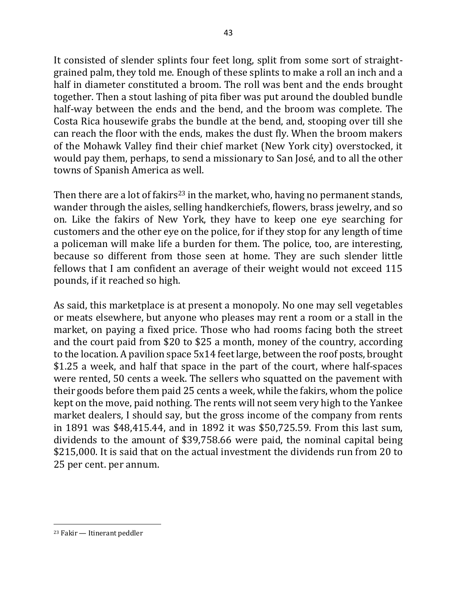It consisted of slender splints four feet long, split from some sort of straightgrained palm, they told me. Enough of these splints to make a roll an inch and a half in diameter constituted a broom. The roll was bent and the ends brought together. Then a stout lashing of pita fiber was put around the doubled bundle half-way between the ends and the bend, and the broom was complete. The Costa Rica housewife grabs the bundle at the bend, and, stooping over till she can reach the floor with the ends, makes the dust fly. When the broom makers of the Mohawk Valley find their chief market (New York city) overstocked, it would pay them, perhaps, to send a missionary to San José, and to all the other towns of Spanish America as well.

Then there are a lot of fakirs<sup>23</sup> in the market, who, having no permanent stands, wander through the aisles, selling handkerchiefs, flowers, brass jewelry, and so on. Like the fakirs of New York, they have to keep one eye searching for customers and the other eye on the police, for if they stop for any length of time a policeman will make life a burden for them. The police, too, are interesting, because so different from those seen at home. They are such slender little fellows that I am confident an average of their weight would not exceed 115 pounds, if it reached so high.

As said, this marketplace is at present a monopoly. No one may sell vegetables or meats elsewhere, but anyone who pleases may rent a room or a stall in the market, on paying a fixed price. Those who had rooms facing both the street and the court paid from \$20 to \$25 a month, money of the country, according to the location. A pavilion space  $5x14$  feet large, between the roof posts, brought \$1.25 a week, and half that space in the part of the court, where half-spaces were rented, 50 cents a week. The sellers who squatted on the pavement with their goods before them paid 25 cents a week, while the fakirs, whom the police kept on the move, paid nothing. The rents will not seem very high to the Yankee market dealers, I should say, but the gross income of the company from rents in 1891 was \$48,415.44, and in 1892 it was \$50,725.59. From this last sum, dividends to the amount of \$39,758.66 were paid, the nominal capital being \$215,000. It is said that on the actual investment the dividends run from 20 to 25 per cent. per annum.

 $23$  Fakir — Itinerant peddler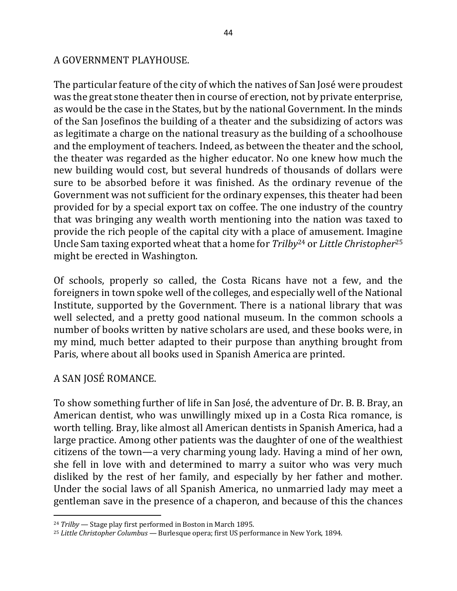## A GOVERNMENT PLAYHOUSE.

The particular feature of the city of which the natives of San José were proudest was the great stone theater then in course of erection, not by private enterprise, as would be the case in the States, but by the national Government. In the minds of the San Josefinos the building of a theater and the subsidizing of actors was as legitimate a charge on the national treasury as the building of a schoolhouse and the employment of teachers. Indeed, as between the theater and the school, the theater was regarded as the higher educator. No one knew how much the new building would cost, but several hundreds of thousands of dollars were sure to be absorbed before it was finished. As the ordinary revenue of the Government was not sufficient for the ordinary expenses, this theater had been provided for by a special export tax on coffee. The one industry of the country that was bringing any wealth worth mentioning into the nation was taxed to provide the rich people of the capital city with a place of amusement. Imagine Uncle Sam taxing exported wheat that a home for *Trilby*<sup>24</sup> or *Little Christopher*<sup>25</sup> might be erected in Washington.

Of schools, properly so called, the Costa Ricans have not a few, and the foreigners in town spoke well of the colleges, and especially well of the National Institute, supported by the Government. There is a national library that was well selected, and a pretty good national museum. In the common schools a number of books written by native scholars are used, and these books were, in my mind, much better adapted to their purpose than anything brought from Paris, where about all books used in Spanish America are printed.

## A SAN JOSÉ ROMANCE.

 $\overline{a}$ 

To show something further of life in San José, the adventure of Dr. B. B. Bray, an American dentist, who was unwillingly mixed up in a Costa Rica romance, is worth telling. Bray, like almost all American dentists in Spanish America, had a large practice. Among other patients was the daughter of one of the wealthiest citizens of the town—a very charming young lady. Having a mind of her own, she fell in love with and determined to marry a suitor who was very much disliked by the rest of her family, and especially by her father and mother. Under the social laws of all Spanish America, no unmarried lady may meet a gentleman save in the presence of a chaperon, and because of this the chances

<sup>&</sup>lt;sup>24</sup> *Trilby* — Stage play first performed in Boston in March 1895.

<sup>&</sup>lt;sup>25</sup> Little Christopher Columbus — Burlesque opera; first US performance in New York, 1894.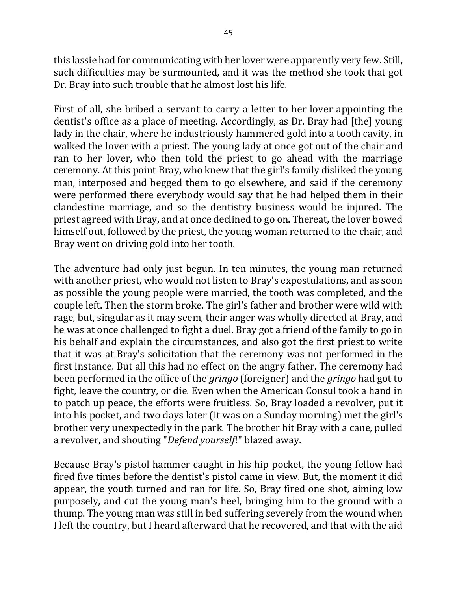this lassie had for communicating with her lover were apparently very few. Still, such difficulties may be surmounted, and it was the method she took that got Dr. Bray into such trouble that he almost lost his life.

First of all, she bribed a servant to carry a letter to her lover appointing the dentist's office as a place of meeting. Accordingly, as Dr. Bray had [the] young lady in the chair, where he industriously hammered gold into a tooth cavity, in walked the lover with a priest. The young lady at once got out of the chair and ran to her lover, who then told the priest to go ahead with the marriage ceremony. At this point Bray, who knew that the girl's family disliked the young man, interposed and begged them to go elsewhere, and said if the ceremony were performed there everybody would say that he had helped them in their clandestine marriage, and so the dentistry business would be injured. The priest agreed with Bray, and at once declined to go on. Thereat, the lover bowed himself out, followed by the priest, the young woman returned to the chair, and Bray went on driving gold into her tooth.

The adventure had only just begun. In ten minutes, the young man returned with another priest, who would not listen to Bray's expostulations, and as soon as possible the young people were married, the tooth was completed, and the couple left. Then the storm broke. The girl's father and brother were wild with rage, but, singular as it may seem, their anger was wholly directed at Bray, and he was at once challenged to fight a duel. Bray got a friend of the family to go in his behalf and explain the circumstances, and also got the first priest to write that it was at Bray's solicitation that the ceremony was not performed in the first instance. But all this had no effect on the angry father. The ceremony had been performed in the office of the *gringo* (foreigner) and the *gringo* had got to fight, leave the country, or die. Even when the American Consul took a hand in to patch up peace, the efforts were fruitless. So, Bray loaded a revolver, put it into his pocket, and two days later (it was on a Sunday morning) met the girl's brother very unexpectedly in the park. The brother hit Bray with a cane, pulled a revolver, and shouting "*Defend yourself*!" blazed away.

Because Bray's pistol hammer caught in his hip pocket, the young fellow had fired five times before the dentist's pistol came in view. But, the moment it did appear, the youth turned and ran for life. So, Bray fired one shot, aiming low purposely, and cut the young man's heel, bringing him to the ground with a thump. The young man was still in bed suffering severely from the wound when I left the country, but I heard afterward that he recovered, and that with the aid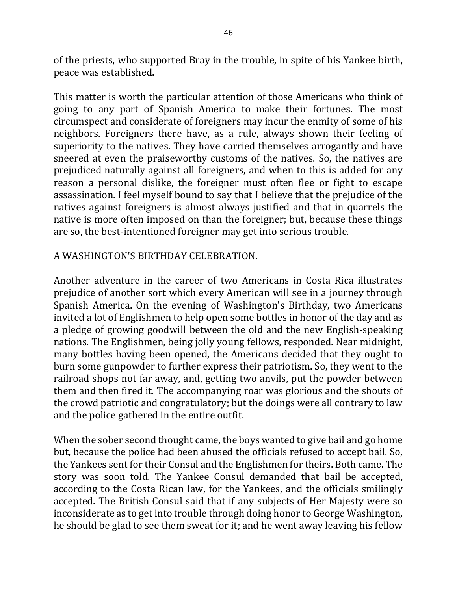of the priests, who supported Bray in the trouble, in spite of his Yankee birth, peace was established.

This matter is worth the particular attention of those Americans who think of going to any part of Spanish America to make their fortunes. The most circumspect and considerate of foreigners may incur the enmity of some of his neighbors. Foreigners there have, as a rule, always shown their feeling of superiority to the natives. They have carried themselves arrogantly and have sneered at even the praiseworthy customs of the natives. So, the natives are prejudiced naturally against all foreigners, and when to this is added for any reason a personal dislike, the foreigner must often flee or fight to escape assassination. I feel myself bound to say that I believe that the prejudice of the natives against foreigners is almost always justified and that in quarrels the native is more often imposed on than the foreigner; but, because these things are so, the best-intentioned foreigner may get into serious trouble.

## A WASHINGTON'S BIRTHDAY CELEBRATION.

Another adventure in the career of two Americans in Costa Rica illustrates prejudice of another sort which every American will see in a journey through Spanish America. On the evening of Washington's Birthday, two Americans invited a lot of Englishmen to help open some bottles in honor of the day and as a pledge of growing goodwill between the old and the new English-speaking nations. The Englishmen, being jolly young fellows, responded. Near midnight, many bottles having been opened, the Americans decided that they ought to burn some gunpowder to further express their patriotism. So, they went to the railroad shops not far away, and, getting two anvils, put the powder between them and then fired it. The accompanying roar was glorious and the shouts of the crowd patriotic and congratulatory; but the doings were all contrary to law and the police gathered in the entire outfit.

When the sober second thought came, the boys wanted to give bail and go home but, because the police had been abused the officials refused to accept bail. So, the Yankees sent for their Consul and the Englishmen for theirs. Both came. The story was soon told. The Yankee Consul demanded that bail be accepted, according to the Costa Rican law, for the Yankees, and the officials smilingly accepted. The British Consul said that if any subjects of Her Majesty were so inconsiderate as to get into trouble through doing honor to George Washington, he should be glad to see them sweat for it; and he went away leaving his fellow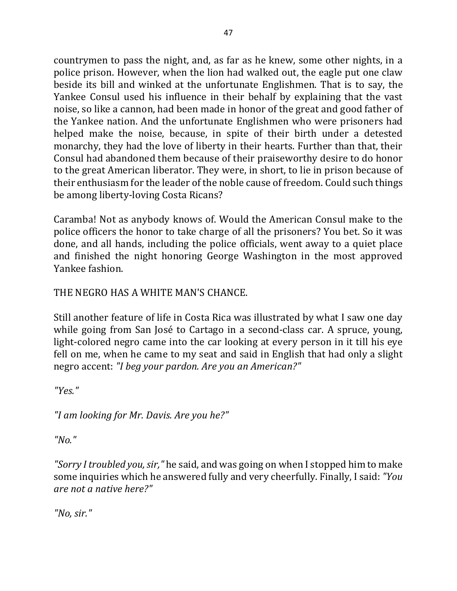countrymen to pass the night, and, as far as he knew, some other nights, in a police prison. However, when the lion had walked out, the eagle put one claw beside its bill and winked at the unfortunate Englishmen. That is to say, the Yankee Consul used his influence in their behalf by explaining that the vast noise, so like a cannon, had been made in honor of the great and good father of the Yankee nation. And the unfortunate Englishmen who were prisoners had helped make the noise, because, in spite of their birth under a detested monarchy, they had the love of liberty in their hearts. Further than that, their Consul had abandoned them because of their praiseworthy desire to do honor to the great American liberator. They were, in short, to lie in prison because of their enthusiasm for the leader of the noble cause of freedom. Could such things be among liberty-loving Costa Ricans?

Caramba! Not as anybody knows of. Would the American Consul make to the police officers the honor to take charge of all the prisoners? You bet. So it was done, and all hands, including the police officials, went away to a quiet place and finished the night honoring George Washington in the most approved Yankee fashion.

THE NEGRO HAS A WHITE MAN'S CHANCE.

Still another feature of life in Costa Rica was illustrated by what I saw one day while going from San José to Cartago in a second-class car. A spruce, young, light-colored negro came into the car looking at every person in it till his eye fell on me, when he came to my seat and said in English that had only a slight negro accent: *"I beg your pardon. Are you an American?"* 

*"Yes."*

*"I am looking for Mr. Davis. Are you he?"*

*"No."*

"Sorry I troubled you, sir," he said, and was going on when I stopped him to make some inquiries which he answered fully and very cheerfully. Finally, I said: "You *are not a native here?"*

*"No, sir."*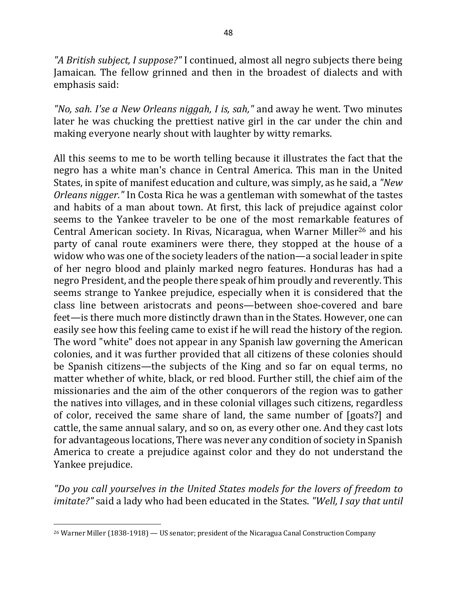"A British subject, I suppose?" I continued, almost all negro subjects there being Jamaican. The fellow grinned and then in the broadest of dialects and with emphasis said:

"No, sah. I'se a New Orleans niggah, I is, sah," and away he went. Two minutes later he was chucking the prettiest native girl in the car under the chin and making everyone nearly shout with laughter by witty remarks.

All this seems to me to be worth telling because it illustrates the fact that the negro has a white man's chance in Central America. This man in the United States, in spite of manifest education and culture, was simply, as he said, a *"New Orleans nigger.*" In Costa Rica he was a gentleman with somewhat of the tastes and habits of a man about town. At first, this lack of prejudice against color seems to the Yankee traveler to be one of the most remarkable features of Central American society. In Rivas, Nicaragua, when Warner Miller<sup>26</sup> and his party of canal route examiners were there, they stopped at the house of a widow who was one of the society leaders of the nation—a social leader in spite of her negro blood and plainly marked negro features. Honduras has had a negro President, and the people there speak of him proudly and reverently. This seems strange to Yankee prejudice, especially when it is considered that the class line between aristocrats and peons—between shoe-covered and bare feet—is there much more distinctly drawn than in the States. However, one can easily see how this feeling came to exist if he will read the history of the region. The word "white" does not appear in any Spanish law governing the American colonies, and it was further provided that all citizens of these colonies should be Spanish citizens—the subjects of the King and so far on equal terms, no matter whether of white, black, or red blood. Further still, the chief aim of the missionaries and the aim of the other conquerors of the region was to gather the natives into villages, and in these colonial villages such citizens, regardless of color, received the same share of land, the same number of [goats?] and cattle, the same annual salary, and so on, as every other one. And they cast lots for advantageous locations, There was never any condition of society in Spanish America to create a prejudice against color and they do not understand the Yankee prejudice.

*"Do you call yourselves in the United States models for the lovers of freedom to imitate?"* said a lady who had been educated in the States. "Well, I say that until

 $26$  Warner Miller (1838-1918) — US senator; president of the Nicaragua Canal Construction Company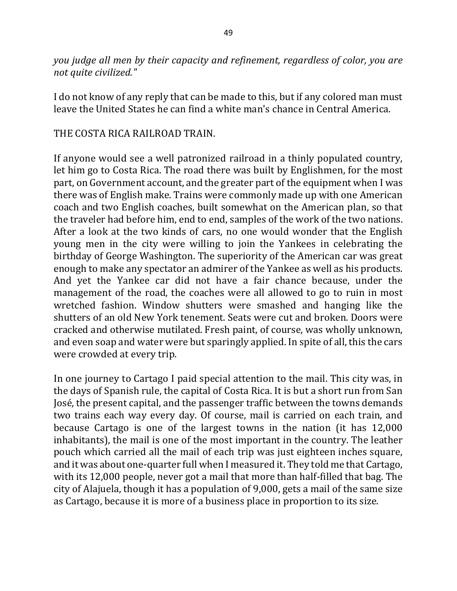*you* judge all men by their capacity and refinement, regardless of color, you are *not quite civilized."*

I do not know of any reply that can be made to this, but if any colored man must leave the United States he can find a white man's chance in Central America.

## THE COSTA RICA RAILROAD TRAIN.

If anyone would see a well patronized railroad in a thinly populated country, let him go to Costa Rica. The road there was built by Englishmen, for the most part, on Government account, and the greater part of the equipment when I was there was of English make. Trains were commonly made up with one American coach and two English coaches, built somewhat on the American plan, so that the traveler had before him, end to end, samples of the work of the two nations. After a look at the two kinds of cars, no one would wonder that the English young men in the city were willing to join the Yankees in celebrating the birthday of George Washington. The superiority of the American car was great enough to make any spectator an admirer of the Yankee as well as his products. And yet the Yankee car did not have a fair chance because, under the management of the road, the coaches were all allowed to go to ruin in most wretched fashion. Window shutters were smashed and hanging like the shutters of an old New York tenement. Seats were cut and broken. Doors were cracked and otherwise mutilated. Fresh paint, of course, was wholly unknown, and even soap and water were but sparingly applied. In spite of all, this the cars were crowded at every trip.

In one journey to Cartago I paid special attention to the mail. This city was, in the days of Spanish rule, the capital of Costa Rica. It is but a short run from San José, the present capital, and the passenger traffic between the towns demands two trains each way every day. Of course, mail is carried on each train, and because Cartago is one of the largest towns in the nation (it has 12,000 inhabitants), the mail is one of the most important in the country. The leather pouch which carried all the mail of each trip was just eighteen inches square, and it was about one-quarter full when I measured it. They told me that Cartago, with its 12,000 people, never got a mail that more than half-filled that bag. The city of Alajuela, though it has a population of  $9,000$ , gets a mail of the same size as Cartago, because it is more of a business place in proportion to its size.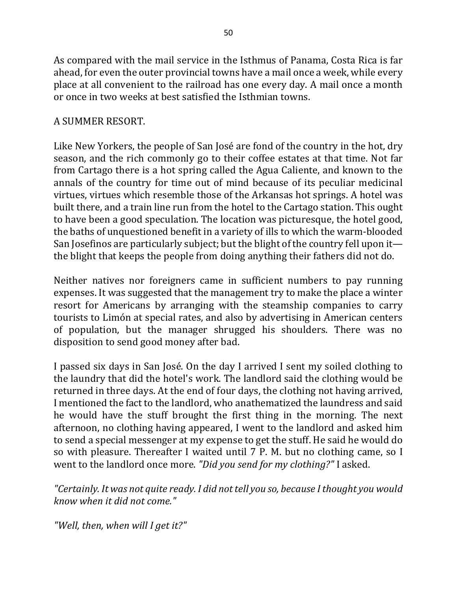As compared with the mail service in the Isthmus of Panama, Costa Rica is far ahead, for even the outer provincial towns have a mail once a week, while every place at all convenient to the railroad has one every day. A mail once a month or once in two weeks at best satisfied the Isthmian towns.

## A SUMMER RESORT.

Like New Yorkers, the people of San José are fond of the country in the hot, dry season, and the rich commonly go to their coffee estates at that time. Not far from Cartago there is a hot spring called the Agua Caliente, and known to the annals of the country for time out of mind because of its peculiar medicinal virtues, virtues which resemble those of the Arkansas hot springs. A hotel was built there, and a train line run from the hotel to the Cartago station. This ought to have been a good speculation. The location was picturesque, the hotel good, the baths of unquestioned benefit in a variety of ills to which the warm-blooded San Josefinos are particularly subject; but the blight of the country fell upon it the blight that keeps the people from doing anything their fathers did not do.

Neither natives nor foreigners came in sufficient numbers to pay running expenses. It was suggested that the management try to make the place a winter resort for Americans by arranging with the steamship companies to carry tourists to Limón at special rates, and also by advertising in American centers of population, but the manager shrugged his shoulders. There was no disposition to send good money after bad.

I passed six days in San José. On the day I arrived I sent my soiled clothing to the laundry that did the hotel's work. The landlord said the clothing would be returned in three days. At the end of four days, the clothing not having arrived, I mentioned the fact to the landlord, who anathematized the laundress and said he would have the stuff brought the first thing in the morning. The next afternoon, no clothing having appeared, I went to the landlord and asked him to send a special messenger at my expense to get the stuff. He said he would do so with pleasure. Thereafter I waited until 7 P. M. but no clothing came, so I went to the landlord once more. *"Did you send for my clothing?"* I asked.

"Certainly. It was not quite ready. I did not tell you so, because I thought you would *know when it did not come."*

*"Well, then, when will I get it?"*